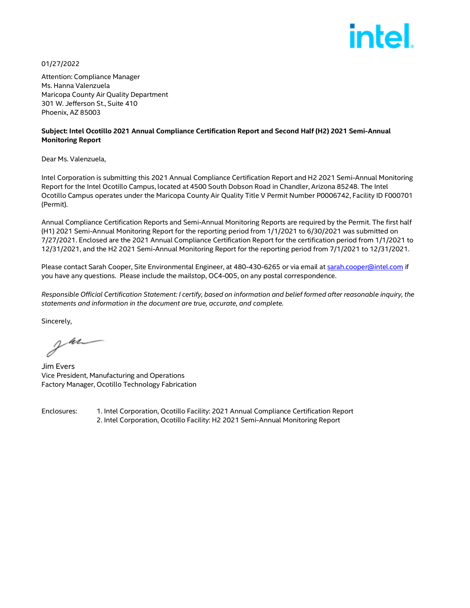

01/27/2022

Attention: Compliance Manager Ms. Hanna Valenzuela Maricopa County Air Quality Department 301 W. Jefferson St., Suite 410 Phoenix, AZ 85003

#### **Subject: Intel Ocotillo 2021 Annual Compliance Certification Report and Second Half (H2) 2021 Semi-Annual Monitoring Report**

Dear Ms. Valenzuela,

Intel Corporation is submitting this 2021 Annual Compliance Certification Report and H2 2021 Semi-Annual Monitoring Report for the Intel Ocotillo Campus, located at 4500 South Dobson Road in Chandler, Arizona 85248. The Intel Ocotillo Campus operates under the Maricopa County Air Quality Title V Permit Number P0006742, Facility ID F000701 (Permit).

Annual Compliance Certification Reports and Semi-Annual Monitoring Reports are required by the Permit. The first half (H1) 2021 Semi-Annual Monitoring Report for the reporting period from 1/1/2021 to 6/30/2021 was submitted on 7/27/2021. Enclosed are the 2021 Annual Compliance Certification Report for the certification period from 1/1/2021 to 12/31/2021, and the H2 2021 Semi-Annual Monitoring Report for the reporting period from 7/1/2021 to 12/31/2021.

Please contact Sarah Cooper, Site Environmental Engineer, at 480-430-6265 or via email at [sarah.cooper@intel.com](mailto:sarah.cooper@intel.com) if you have any questions. Please include the mailstop, OC4-005, on any postal correspondence.

*Responsible Official Certification Statement: I certify, based on information and belief formed after reasonable inquiry, the statements and information in the document are true, accurate, and complete.* 

Sincerely,

Jun

Jim Evers Vice President, Manufacturing and Operations Factory Manager, Ocotillo Technology Fabrication

Enclosures: 1. Intel Corporation, Ocotillo Facility: 2021 Annual Compliance Certification Report 2. Intel Corporation, Ocotillo Facility: H2 2021 Semi-Annual Monitoring Report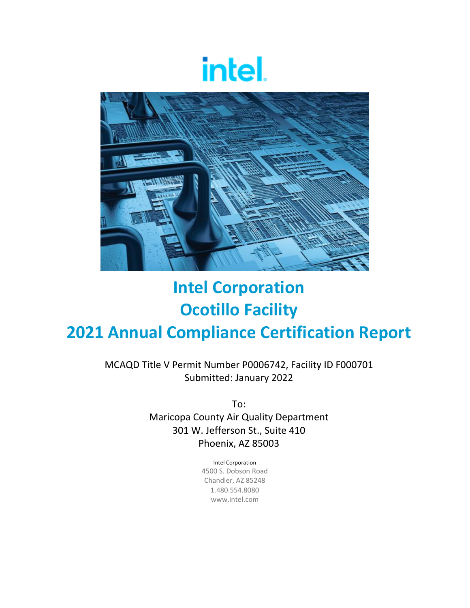# intel.



## **Intel Corporation Ocotillo Facility 2021 Annual Compliance Certification Report**

MCAQD Title V Permit Number P0006742, Facility ID F000701 Submitted: January 2022

> To: Maricopa County Air Quality Department 301 W. Jefferson St., Suite 410 Phoenix, AZ 85003

> > Intel Corporation 4500 S. Dobson Road Chandler, AZ 85248 1.480.554.8080

> > > www.intel.com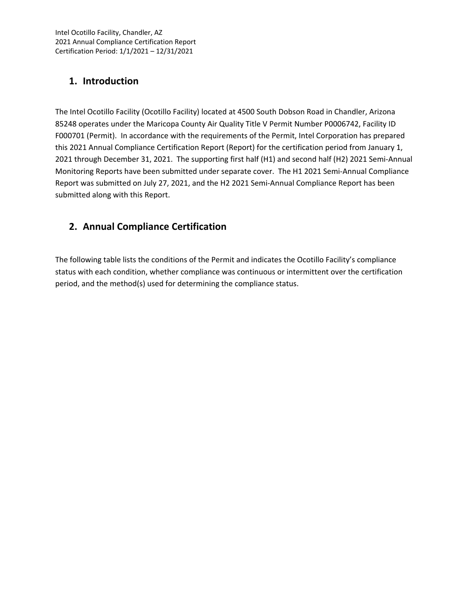### **1. Introduction**

The Intel Ocotillo Facility (Ocotillo Facility) located at 4500 South Dobson Road in Chandler, Arizona 85248 operates under the Maricopa County Air Quality Title V Permit Number P0006742, Facility ID F000701 (Permit). In accordance with the requirements of the Permit, Intel Corporation has prepared this 2021 Annual Compliance Certification Report (Report) for the certification period from January 1, 2021 through December 31, 2021. The supporting first half (H1) and second half (H2) 2021 Semi‐Annual Monitoring Reports have been submitted under separate cover. The H1 2021 Semi‐Annual Compliance Report was submitted on July 27, 2021, and the H2 2021 Semi‐Annual Compliance Report has been submitted along with this Report.

## **2. Annual Compliance Certification**

The following table lists the conditions of the Permit and indicates the Ocotillo Facility's compliance status with each condition, whether compliance was continuous or intermittent over the certification period, and the method(s) used for determining the compliance status.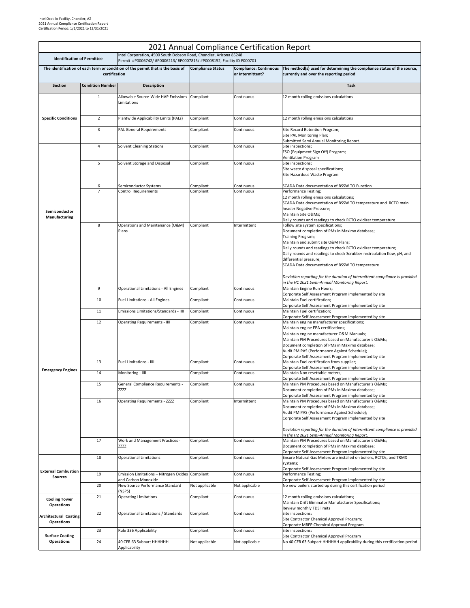|                                                   |                         |                                                                                                                                              |                          | 2021 Annual Compliance Certification Report       |                                                                                                                                                                                                                                                                                                                                                                                                                                                                                                                          |
|---------------------------------------------------|-------------------------|----------------------------------------------------------------------------------------------------------------------------------------------|--------------------------|---------------------------------------------------|--------------------------------------------------------------------------------------------------------------------------------------------------------------------------------------------------------------------------------------------------------------------------------------------------------------------------------------------------------------------------------------------------------------------------------------------------------------------------------------------------------------------------|
| <b>Identification of Permittee</b>                |                         | Intel Corporation, 4500 South Dobson Road, Chandler, Arizona 85248<br>Permit #P0006742/ #P0006213/ #P0007815/ #P0008152, Facility ID F000701 |                          |                                                   |                                                                                                                                                                                                                                                                                                                                                                                                                                                                                                                          |
|                                                   | certification           | The identification of each term or condition of the permit that is the basis of                                                              | <b>Compliance Status</b> | <b>Compliance: Continuous</b><br>or Intermittent? | The method(s) used for determining the compliance status of the source,<br>currently and over the reporting period                                                                                                                                                                                                                                                                                                                                                                                                       |
| <b>Section</b>                                    | <b>Condition Number</b> | Description                                                                                                                                  |                          |                                                   | <b>Task</b>                                                                                                                                                                                                                                                                                                                                                                                                                                                                                                              |
|                                                   | $\mathbf{1}$            | Allowable Source-Wide HAP Emissions Compliant<br>Limitations                                                                                 |                          | Continuous                                        | 12 month rolling emissions calculations                                                                                                                                                                                                                                                                                                                                                                                                                                                                                  |
| <b>Specific Conditions</b>                        | $\overline{2}$          | Plantwide Applicability Limits (PALs)                                                                                                        | Compliant                | Continuous                                        | 12 month rolling emissions calculations                                                                                                                                                                                                                                                                                                                                                                                                                                                                                  |
|                                                   | 3                       | <b>PAL General Requirements</b>                                                                                                              | Compliant                | Continuous                                        | Site Record Retention Program;<br>Site PAL Monitoring Plan;                                                                                                                                                                                                                                                                                                                                                                                                                                                              |
|                                                   | $\overline{4}$          | <b>Solvent Cleaning Stations</b>                                                                                                             | Compliant                | Continuous                                        | Submitted Semi Annual Monitoring Report.<br>Site inspections;<br>ESO (Equipment Sign Off) Program;<br>Ventilation Program                                                                                                                                                                                                                                                                                                                                                                                                |
|                                                   | 5                       | Solvent Storage and Disposal                                                                                                                 | Compliant                | Continuous                                        | Site inspections;<br>Site waste disposal specifications;<br>Site Hazardous Waste Program                                                                                                                                                                                                                                                                                                                                                                                                                                 |
| Semiconductor<br>Manufacturing                    | 6<br>$\overline{7}$     | Semiconductor Systems<br>Control Requirements                                                                                                | Compliant<br>Compliant   | Continuous<br>Continuous                          | SCADA Data documentation of BSSW TO Function<br>Performance Testing;<br>12 month rolling emissions calculations;<br>SCADA Data documentation of BSSW TO temperature and RCTO main<br>header Negative Pressure;<br>Maintain Site O&Ms                                                                                                                                                                                                                                                                                     |
|                                                   | 8                       | Operations and Maintenance (O&M)<br>Plans                                                                                                    | Compliant                | Intermittent                                      | Daily rounds and readings to check RCTO oxidizer temperature<br>Follow site system specifications;<br>Document completion of PMs in Maximo database;<br>Training Program;<br>Maintain and submit site O&M Plans;<br>Daily rounds and readings to check RCTO oxidizer temperature;<br>Daily rounds and readings to check Scrubber recirculation flow, pH, and<br>differential pressure;<br>SCADA Data documentation of BSSW TO temperature<br>Deviation reporting for the duration of intermittent compliance is provided |
|                                                   | 9                       | Operational Limitations - All Engines                                                                                                        | Compliant                | Continuous                                        | in the H1 2021 Semi-Annual Monitoring Report.<br>Maintain Engine Run Hours;                                                                                                                                                                                                                                                                                                                                                                                                                                              |
|                                                   | 10                      | Fuel Limitations - All Engines                                                                                                               | Compliant                | Continuous                                        | Corporate Self Assessment Program implemented by site<br>Maintain Fuel certification;                                                                                                                                                                                                                                                                                                                                                                                                                                    |
|                                                   | 11                      | Emissions Limitations/Standards - IIII                                                                                                       | Compliant                | Continuous                                        | Corporate Self Assessment Program implemented by site<br>Maintain Fuel certification;                                                                                                                                                                                                                                                                                                                                                                                                                                    |
|                                                   | 12                      | <b>Operating Requirements - IIII</b>                                                                                                         | Compliant                | Continuous                                        | Corporate Self Assessment Program implemented by site<br>Maintain engine manufacturer specifications;<br>Maintain engine EPA certifications;<br>Maintain engine manufacturer O&M Manuals;<br>Maintain PM Procedures based on Manufacturer's O&Ms<br>Document completion of PMs in Maximo database;<br>Audit PM PAS (Performance Against Schedule);<br>Corporate Self Assessment Program implemented by site                                                                                                              |
|                                                   | 13                      | <b>Fuel Limitations - IIII</b>                                                                                                               | Compliant                | Continuous                                        | Maintain Fuel certification from supplier;<br>Corporate Self Assessment Program implemented by site                                                                                                                                                                                                                                                                                                                                                                                                                      |
| <b>Emergency Engines</b>                          | 14                      | Monitoring - IIII                                                                                                                            | Compliant                | Continuous                                        | Maintain Non resettable meters;<br>Corporate Self Assessment Program implemented by site                                                                                                                                                                                                                                                                                                                                                                                                                                 |
|                                                   | 15                      | General Compliance Requirements -<br><b>ZZZZ</b>                                                                                             | Compliant                | Continuous                                        | Maintain PM Procedures based on Manufacturer's O&Ms<br>Document completion of PMs in Maximo database;<br>Corporate Self Assessment Program implemented by site                                                                                                                                                                                                                                                                                                                                                           |
|                                                   | 16                      | <b>Operating Requirements - ZZZZ</b>                                                                                                         | Compliant                | Intermittent                                      | Maintain PM Procedures based on Manufacturer's O&Ms<br>Document completion of PMs in Maximo database;<br>Audit PM PAS (Performance Against Schedule);<br>Corporate Self Assessment Program implemented by site<br>Deviation reporting for the duration of intermittent compliance is provided                                                                                                                                                                                                                            |
|                                                   | 17                      | Work and Management Practices -<br>ZZZZ                                                                                                      | Compliant                | Continuous                                        | in the H2 2021 Semi-Annual Monitoring Report.<br>Maintain PM Procedures based on Manufacturer's O&Ms<br>Document completion of PMs in Maximo database;                                                                                                                                                                                                                                                                                                                                                                   |
|                                                   | 18                      | Operational Limitations                                                                                                                      | Compliant                | Continuous                                        | Corporate Self Assessment Program implemented by site<br>Ensure Natural Gas Meters are installed on boilers, RCTOs, and TRMX<br>systems;                                                                                                                                                                                                                                                                                                                                                                                 |
| <b>External Combustion</b><br><b>Sources</b>      | 19                      | Emission Limitations - Nitrogen Oxides Compliant                                                                                             |                          | Continuous                                        | Corporate Self Assessment Program implemented by site<br>Performance Testing;                                                                                                                                                                                                                                                                                                                                                                                                                                            |
|                                                   | 20                      | and Carbon Monoxide<br>New Source Performance Standard<br>(NSPS)                                                                             | Not applicable           | Not applicable                                    | Corporate Self Assessment Program implemented by site<br>No new boilers started up during this certification period                                                                                                                                                                                                                                                                                                                                                                                                      |
| <b>Cooling Tower</b><br><b>Operations</b>         | 21                      | <b>Operating Limitations</b>                                                                                                                 | Compliant                | Continuous                                        | 12 month rolling emissions calculations;<br>Maintain Drift Eliminator Manufacturer Specifications;<br>Review monthly TDS limits                                                                                                                                                                                                                                                                                                                                                                                          |
| <b>Architectural Coating</b><br><b>Operations</b> | 22                      | Operational Limitations / Standards                                                                                                          | Compliant                | Continuous                                        | Site inspections;<br>Site Contractor Chemical Approval Program;<br>Corporate MREP Chemical Approval Program                                                                                                                                                                                                                                                                                                                                                                                                              |
| <b>Surface Coating</b>                            | 23                      | Rule 336 Applicability                                                                                                                       | Compliant                | Continuous                                        | Site inspections;<br>Site Contractor Chemical Approval Program                                                                                                                                                                                                                                                                                                                                                                                                                                                           |
| <b>Operations</b>                                 | 24                      | 40 CFR 63 Subpart HHHHHH<br>Applicability                                                                                                    | Not applicable           | Not applicable                                    | No 40 CFR 63 Subpart HHHHHH applicability during this certification period                                                                                                                                                                                                                                                                                                                                                                                                                                               |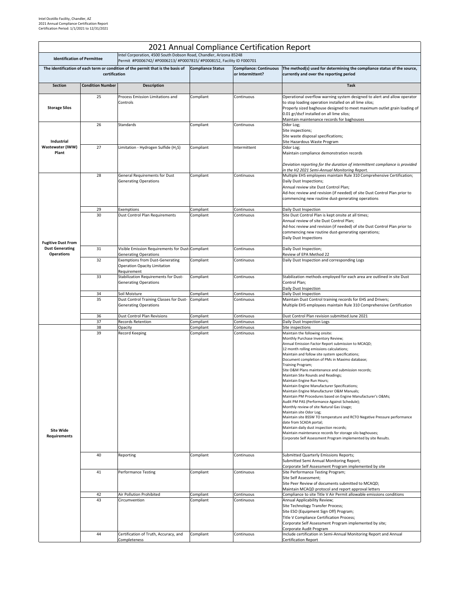|                                         |                         |                                                                                                                                              |                          | 2021 Annual Compliance Certification Report |                                                                                                                                                                                                                                                                                                                                                                                                                                                                                                                                                                                                                                                                                                                                                                                                                                                                                                                                                                                               |
|-----------------------------------------|-------------------------|----------------------------------------------------------------------------------------------------------------------------------------------|--------------------------|---------------------------------------------|-----------------------------------------------------------------------------------------------------------------------------------------------------------------------------------------------------------------------------------------------------------------------------------------------------------------------------------------------------------------------------------------------------------------------------------------------------------------------------------------------------------------------------------------------------------------------------------------------------------------------------------------------------------------------------------------------------------------------------------------------------------------------------------------------------------------------------------------------------------------------------------------------------------------------------------------------------------------------------------------------|
| <b>Identification of Permittee</b>      |                         | Intel Corporation, 4500 South Dobson Road, Chandler, Arizona 85248<br>Permit #P0006742/ #P0006213/ #P0007815/ #P0008152, Facility ID F000701 |                          |                                             |                                                                                                                                                                                                                                                                                                                                                                                                                                                                                                                                                                                                                                                                                                                                                                                                                                                                                                                                                                                               |
|                                         |                         | The identification of each term or condition of the permit that is the basis of                                                              | <b>Compliance Status</b> | <b>Compliance: Continuous</b>               | The method(s) used for determining the compliance status of the source,                                                                                                                                                                                                                                                                                                                                                                                                                                                                                                                                                                                                                                                                                                                                                                                                                                                                                                                       |
|                                         | certification           |                                                                                                                                              |                          | or Intermittent?                            | currently and over the reporting period                                                                                                                                                                                                                                                                                                                                                                                                                                                                                                                                                                                                                                                                                                                                                                                                                                                                                                                                                       |
| Section                                 | <b>Condition Number</b> | Description                                                                                                                                  |                          |                                             | <b>Task</b>                                                                                                                                                                                                                                                                                                                                                                                                                                                                                                                                                                                                                                                                                                                                                                                                                                                                                                                                                                                   |
|                                         | 25                      | Process Emission Limitations and                                                                                                             | Compliant                | Continuous                                  | Operational overflow warning system designed to alert and allow operator                                                                                                                                                                                                                                                                                                                                                                                                                                                                                                                                                                                                                                                                                                                                                                                                                                                                                                                      |
| <b>Storage Silos</b>                    |                         | Controls                                                                                                                                     |                          |                                             | to stop loading operation installed on all lime silos;<br>Properly sized baghouse designed to meet maximum outlet grain loading of<br>0.01 gr/dscf installed on all lime silos;<br>Maintain maintenance records for baghouses                                                                                                                                                                                                                                                                                                                                                                                                                                                                                                                                                                                                                                                                                                                                                                 |
| Industrial                              | 26                      | Standards                                                                                                                                    | Compliant                | Continuous                                  | Odor Log;<br>Site inspections;<br>Site waste disposal specifications;<br>Site Hazardous Waste Program                                                                                                                                                                                                                                                                                                                                                                                                                                                                                                                                                                                                                                                                                                                                                                                                                                                                                         |
| Wastewater (IWW)<br>Plant               | 27                      | Limitation - Hydrogen Sulfide (H <sub>2</sub> S)                                                                                             | Compliant                | Intermittent                                | Odor Log;<br>Maintain compliance demonstration records<br>Deviation reporting for the duration of intermittent compliance is provided                                                                                                                                                                                                                                                                                                                                                                                                                                                                                                                                                                                                                                                                                                                                                                                                                                                         |
|                                         | 28                      | General Requirements for Dust<br><b>Generating Operations</b>                                                                                | Compliant                | Continuous                                  | in the H2 2021 Semi-Annual Monitoring Report.<br>Multiple EHS employees maintain Rule 310 Comprehensive Certification;<br>Daily Dust Inspections;<br>Annual review site Dust Control Plan;<br>Ad-hoc review and revision (if needed) of site Dust Control Plan prior to<br>commencing new routine dust-generating operations                                                                                                                                                                                                                                                                                                                                                                                                                                                                                                                                                                                                                                                                  |
|                                         | 29                      | Exemptions                                                                                                                                   | Compliant                | Continuous                                  | Daily Dust Inspection                                                                                                                                                                                                                                                                                                                                                                                                                                                                                                                                                                                                                                                                                                                                                                                                                                                                                                                                                                         |
| <b>Fugitive Dust From</b>               | 30                      | Dust Control Plan Requirements                                                                                                               | Compliant                | Continuous                                  | Site Dust Control Plan is kept onsite at all times;<br>Annual review of site Dust Control Plan;<br>Ad-hoc review and revision (if needed) of site Dust Control Plan prior to<br>commencing new routine dust-generating operations;<br><b>Daily Dust Inspections</b>                                                                                                                                                                                                                                                                                                                                                                                                                                                                                                                                                                                                                                                                                                                           |
| <b>Dust Generating</b>                  | 31                      | Visible Emission Requirements for Dust-Compliant                                                                                             |                          | Continuous                                  | Daily Dust Inspection;                                                                                                                                                                                                                                                                                                                                                                                                                                                                                                                                                                                                                                                                                                                                                                                                                                                                                                                                                                        |
| <b>Operations</b>                       | 32                      | <b>Generating Operations</b><br><b>Exemptions from Dust-Generating</b><br>Operation Opacity Limitation<br>Requirement                        | Compliant                | Continuous                                  | Review of EPA Method 22<br>Daily Dust Inspection and corresponding Logs                                                                                                                                                                                                                                                                                                                                                                                                                                                                                                                                                                                                                                                                                                                                                                                                                                                                                                                       |
|                                         | 33                      | Stabilization Requirements for Dust-<br><b>Generating Operations</b>                                                                         | Compliant                | Continuous                                  | Stabilization methods employed for each area are outlined in site Dust<br>Control Plan;<br>Daily Dust Inspection                                                                                                                                                                                                                                                                                                                                                                                                                                                                                                                                                                                                                                                                                                                                                                                                                                                                              |
|                                         | 34                      | Soil Moisture                                                                                                                                | Compliant                | Continuous                                  | Daily Dust Inspection                                                                                                                                                                                                                                                                                                                                                                                                                                                                                                                                                                                                                                                                                                                                                                                                                                                                                                                                                                         |
|                                         | 35                      | Dust Control Training Classes for Dust-<br><b>Generating Operations</b>                                                                      | Compliant                | Continuous                                  | Maintain Dust Control training records for EHS and Drivers;<br>Multiple EHS employees maintain Rule 310 Comprehensive Certification                                                                                                                                                                                                                                                                                                                                                                                                                                                                                                                                                                                                                                                                                                                                                                                                                                                           |
|                                         | 36<br>37                | Dust Control Plan Revisions<br><b>Records Retention</b>                                                                                      | Compliant<br>Compliant   | Continuous<br>Continuous                    | Dust Control Plan revision submitted June 2021<br>Daily Dust Inspection Logs                                                                                                                                                                                                                                                                                                                                                                                                                                                                                                                                                                                                                                                                                                                                                                                                                                                                                                                  |
|                                         | 38                      | Opacity                                                                                                                                      | Compliant                | Continuous                                  | Site inspections                                                                                                                                                                                                                                                                                                                                                                                                                                                                                                                                                                                                                                                                                                                                                                                                                                                                                                                                                                              |
| <b>Site Wide</b><br><b>Requirements</b> | 39                      | Record Keeping                                                                                                                               | Compliant                | Continuous                                  | Maintain the following onsite:<br>Monthly Purchase Inventory Review;<br>Annual Emission Factor Report submission to MCAQD;<br>12 month rolling emissions calculations;<br>Maintain and follow site system specifications;<br>Document completion of PMs in Maximo database;<br>Training Program;<br>Site O&M Plans maintenance and submission records;<br>Maintain Site Rounds and Readings;<br>Maintain Engine Run Hours;<br>Maintain Engine Manufacturer Specifications;<br>Maintain Engine Manufacturer O&M Manuals;<br>Maintain PM Procedures based on Engine Manufacturer's O&Ms<br>Audit PM PAS (Performance Against Schedule);<br>Monthly review of site Natural Gas Usage;<br>Maintain site Odor Log;<br>Maintain site BSSW TO temperature and RCTO Negative Pressure performance<br>date from SCADA portal;<br>Maintain daily dust inspection records;<br>Maintain maintenance records for storage silo baghouses;<br>Corporate Self Assessment Program implemented by site Results. |
|                                         | 40                      | Reporting                                                                                                                                    | Compliant                | Continuous                                  | Submitted Quarterly Emissions Reports;<br>Submitted Semi Annual Monitoring Report;<br>Corporate Self Assessment Program implemented by site                                                                                                                                                                                                                                                                                                                                                                                                                                                                                                                                                                                                                                                                                                                                                                                                                                                   |
|                                         | 41                      | <b>Performance Testing</b>                                                                                                                   | Compliant                | Continuous                                  | Site Performance Testing Program;<br>Site Self Assessment;<br>Site Peer Review of documents submitted to MCAQD;<br>Maintain MCAQD protocol and report approval letters                                                                                                                                                                                                                                                                                                                                                                                                                                                                                                                                                                                                                                                                                                                                                                                                                        |
|                                         | 42<br>43                | Air Pollution Prohibited<br>Circumvention                                                                                                    | Compliant<br>Compliant   | Continuous<br>Continuous                    | Compliance to site Title V Air Permit allowable emissions conditions<br>Annual Applicability Review;                                                                                                                                                                                                                                                                                                                                                                                                                                                                                                                                                                                                                                                                                                                                                                                                                                                                                          |
|                                         |                         |                                                                                                                                              |                          |                                             | Site Technology Transfer Process;<br>Site ESO (Equipment Sign Off) Program;<br>Title V Compliance Certification Process;<br>Corporate Self Assessment Program implemented by site;<br>Corporate Audit Program                                                                                                                                                                                                                                                                                                                                                                                                                                                                                                                                                                                                                                                                                                                                                                                 |
|                                         | 44                      | Certification of Truth, Accuracy, and<br>Completeness                                                                                        | Compliant                | Continuous                                  | Include certification in Semi-Annual Monitoring Report and Annual<br><b>Certification Report</b>                                                                                                                                                                                                                                                                                                                                                                                                                                                                                                                                                                                                                                                                                                                                                                                                                                                                                              |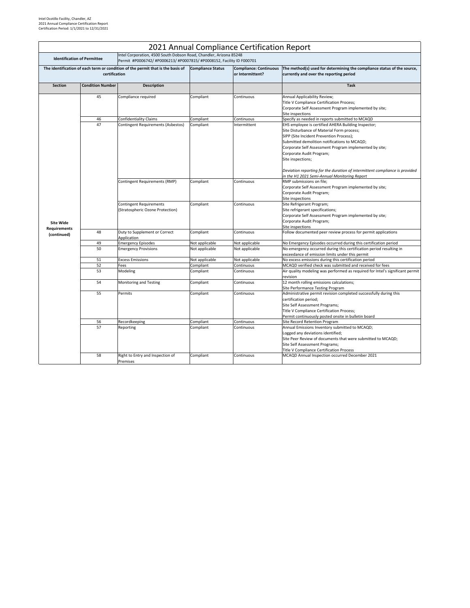|                                    |                         |                                                                                                                                              |                          | 2021 Annual Compliance Certification Report       |                                                                                                                                                                                                                                                                                                                                                                                                                                         |
|------------------------------------|-------------------------|----------------------------------------------------------------------------------------------------------------------------------------------|--------------------------|---------------------------------------------------|-----------------------------------------------------------------------------------------------------------------------------------------------------------------------------------------------------------------------------------------------------------------------------------------------------------------------------------------------------------------------------------------------------------------------------------------|
| <b>Identification of Permittee</b> |                         | Intel Corporation, 4500 South Dobson Road, Chandler, Arizona 85248<br>Permit #P0006742/ #P0006213/ #P0007815/ #P0008152, Facility ID F000701 |                          |                                                   |                                                                                                                                                                                                                                                                                                                                                                                                                                         |
|                                    | certification           | The identification of each term or condition of the permit that is the basis of                                                              | <b>Compliance Status</b> | <b>Compliance: Continuous</b><br>or Intermittent? | The method(s) used for determining the compliance status of the source,<br>currently and over the reporting period                                                                                                                                                                                                                                                                                                                      |
| <b>Section</b>                     | <b>Condition Number</b> | <b>Description</b>                                                                                                                           |                          |                                                   | <b>Task</b>                                                                                                                                                                                                                                                                                                                                                                                                                             |
|                                    | 45                      | Compliance required                                                                                                                          | Compliant                | Continuous                                        | Annual Applicability Review;<br>Title V Compliance Certification Process;<br>Corporate Self Assessment Program implemented by site;<br>Site inspections                                                                                                                                                                                                                                                                                 |
|                                    | 46                      | <b>Confidentiality Claims</b>                                                                                                                | Compliant                | Continuous                                        | Specify as needed in reports submitted to MCAQD                                                                                                                                                                                                                                                                                                                                                                                         |
|                                    | 47                      | Contingent Requirements (Asbestos)                                                                                                           | Compliant                | Intermittent                                      | EHS employee is certified AHERA Building Inspector;<br>Site Disturbance of Material Form process;<br>SIPP (Site Incident Prevention Process);<br>Submitted demolition notifications to MCAQD;<br>Corporate Self Assessment Program implemented by site;<br>Corporate Audit Program;<br>Site inspections;<br>Deviation reporting for the duration of intermittent compliance is provided<br>in the H1 2021 Semi-Annual Monitoring Report |
|                                    |                         | Contingent Requirements (RMP)                                                                                                                | Compliant                | Continuous                                        | RMP submissions on file;<br>Corporate Self Assessment Program implemented by site;<br>Corporate Audit Program;<br>Site inspections                                                                                                                                                                                                                                                                                                      |
| <b>Site Wide</b>                   |                         | <b>Contingent Requirements</b><br>(Stratospheric Ozone Protection)                                                                           | Compliant                | Continuous                                        | Site Refrigerant Program;<br>Site refrigerant specifications;<br>Corporate Self Assessment Program implemented by site;<br>Corporate Audit Program;<br>Site inspections                                                                                                                                                                                                                                                                 |
| <b>Requirements</b><br>(continued) | 48                      | Duty to Supplement or Correct<br>Application                                                                                                 | Compliant                | Continuous                                        | Follow documented peer review process for permit applications                                                                                                                                                                                                                                                                                                                                                                           |
|                                    | 49                      | <b>Emergency Episodes</b>                                                                                                                    | Not applicable           | Not applicable                                    | No Emergency Episodes occurred during this certification period                                                                                                                                                                                                                                                                                                                                                                         |
|                                    | 50                      | <b>Emergency Provisions</b>                                                                                                                  | Not applicable           | Not applicable                                    | No emergency occurred during this certification period resulting in<br>exceedance of emission limits under this permit                                                                                                                                                                                                                                                                                                                  |
|                                    | 51                      | <b>Excess Emissions</b>                                                                                                                      | Not applicable           | Not applicable                                    | No excess emissions during this certification period                                                                                                                                                                                                                                                                                                                                                                                    |
|                                    | 52                      | Fees                                                                                                                                         | Compliant                | Continuous                                        | MCAQD verified check was submitted and received for fees                                                                                                                                                                                                                                                                                                                                                                                |
|                                    | 53                      | Modeling                                                                                                                                     | Compliant                | Continuous                                        | Air quality modeling was performed as required for Intel's significant permit<br>revision                                                                                                                                                                                                                                                                                                                                               |
|                                    | 54                      | Monitoring and Testing                                                                                                                       | Compliant                | Continuous                                        | 12 month rolling emissions calculations;<br>Site Performance Testing Program                                                                                                                                                                                                                                                                                                                                                            |
|                                    | 55                      | Permits                                                                                                                                      | Compliant                | Continuous                                        | Administrative permit revision completed successfully during this<br>certification period;<br>Site Self Assessment Programs;<br>Title V Compliance Certification Process;<br>Permit continuously posted onsite in bulletin board                                                                                                                                                                                                        |
|                                    | 56                      | Recordkeeping                                                                                                                                | Compliant                | Continuous                                        | Site Record Retention Program                                                                                                                                                                                                                                                                                                                                                                                                           |
|                                    | 57                      | Reporting                                                                                                                                    | Compliant                | Continuous                                        | Annual Emissions Inventory submitted to MCAQD;<br>Logged any deviations identified;<br>Site Peer Review of documents that were submitted to MCAQD;<br>Site Self Assessment Programs;<br><b>Title V Compliance Certification Process</b>                                                                                                                                                                                                 |
|                                    | 58                      | Right to Entry and Inspection of<br>Premises                                                                                                 | Compliant                | Continuous                                        | MCAQD Annual Inspection occurred December 2021                                                                                                                                                                                                                                                                                                                                                                                          |

## Intel Ocotillo Facility, Chandler, AZ 2021 Annual Compliance Certification Report Certification Period: 1/1/2021 to 12/31/2021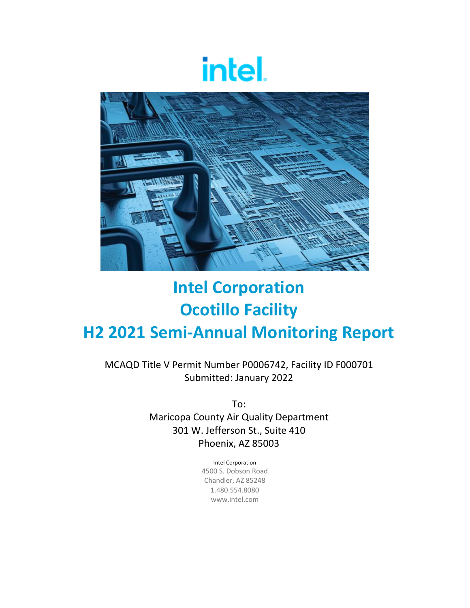# intel.



## **Intel Corporation Ocotillo Facility H2 2021 Semi‐Annual Monitoring Report**

MCAQD Title V Permit Number P0006742, Facility ID F000701 Submitted: January 2022

> To: Maricopa County Air Quality Department 301 W. Jefferson St., Suite 410 Phoenix, AZ 85003

> > Intel Corporation 4500 S. Dobson Road Chandler, AZ 85248 1.480.554.8080

> > > www.intel.com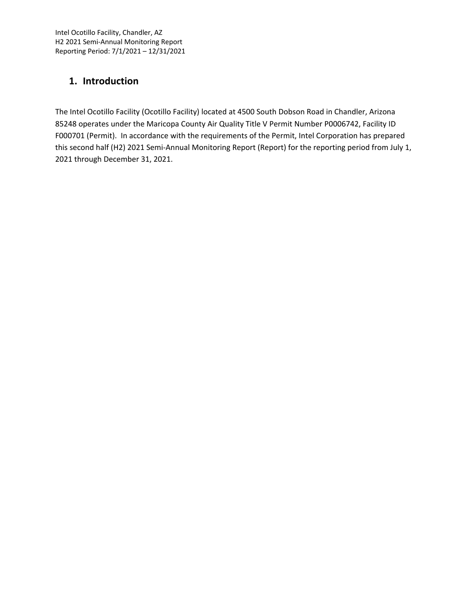## **1. Introduction**

The Intel Ocotillo Facility (Ocotillo Facility) located at 4500 South Dobson Road in Chandler, Arizona 85248 operates under the Maricopa County Air Quality Title V Permit Number P0006742, Facility ID F000701 (Permit). In accordance with the requirements of the Permit, Intel Corporation has prepared this second half (H2) 2021 Semi‐Annual Monitoring Report (Report) for the reporting period from July 1, 2021 through December 31, 2021.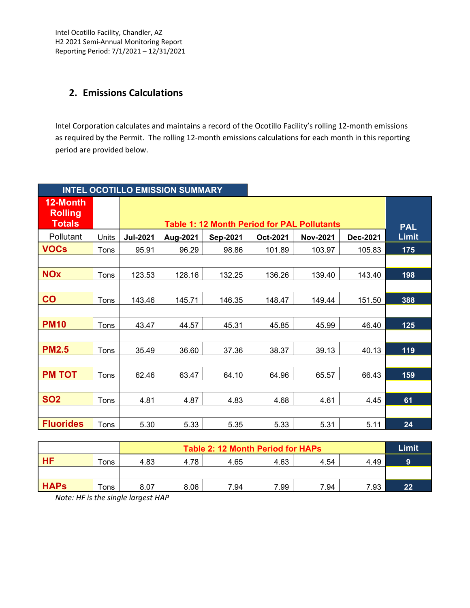Intel Ocotillo Facility, Chandler, AZ H2 2021 Semi‐Annual Monitoring Report Reporting Period: 7/1/2021 – 12/31/2021

## **2. Emissions Calculations**

Intel Corporation calculates and maintains a record of the Ocotillo Facility's rolling 12‐month emissions as required by the Permit. The rolling 12-month emissions calculations for each month in this reporting period are provided below.

|                                             |       |                 | <b>INTEL OCOTILLO EMISSION SUMMARY</b>             |          |          |                 |          |              |  |
|---------------------------------------------|-------|-----------------|----------------------------------------------------|----------|----------|-----------------|----------|--------------|--|
| 12-Month<br><b>Rolling</b><br><b>Totals</b> |       |                 | <b>Table 1: 12 Month Period for PAL Pollutants</b> |          |          |                 |          |              |  |
| Pollutant                                   | Units | <b>Jul-2021</b> | Aug-2021                                           | Sep-2021 | Oct-2021 | <b>Nov-2021</b> | Dec-2021 | <b>Limit</b> |  |
| <b>VOCs</b>                                 | Tons  | 95.91           | 96.29                                              | 98.86    | 101.89   | 103.97          | 105.83   | 175          |  |
|                                             |       |                 |                                                    |          |          |                 |          |              |  |
| <b>NOx</b>                                  | Tons  | 123.53          | 128.16                                             | 132.25   | 136.26   | 139.40          | 143.40   | 198          |  |
|                                             |       |                 |                                                    |          |          |                 |          |              |  |
| CO                                          | Tons  | 143.46          | 145.71                                             | 146.35   | 148.47   | 149.44          | 151.50   | 388          |  |
|                                             |       |                 |                                                    |          |          |                 |          |              |  |
| <b>PM10</b>                                 | Tons  | 43.47           | 44.57                                              | 45.31    | 45.85    | 45.99           | 46.40    | 125          |  |
|                                             |       |                 |                                                    |          |          |                 |          |              |  |
| <b>PM2.5</b>                                | Tons  | 35.49           | 36.60                                              | 37.36    | 38.37    | 39.13           | 40.13    | 119          |  |
|                                             |       |                 |                                                    |          |          |                 |          |              |  |
| <b>PM TOT</b>                               | Tons  | 62.46           | 63.47                                              | 64.10    | 64.96    | 65.57           | 66.43    | 159          |  |
|                                             |       |                 |                                                    |          |          |                 |          |              |  |
| <b>SO2</b>                                  | Tons  | 4.81            | 4.87                                               | 4.83     | 4.68     | 4.61            | 4.45     | 61           |  |
|                                             |       |                 |                                                    |          |          |                 |          |              |  |
| <b>Fluorides</b>                            | Tons  | 5.30            | 5.33                                               | 5.35     | 5.33     | 5.31            | 5.11     | 24           |  |

|             |      |      | Table 2: 12 Month Period for HAPs |      |      |      |      |    |
|-------------|------|------|-----------------------------------|------|------|------|------|----|
| <b>HF</b>   | Tons | 4.83 | 4.78                              | 4.65 | 4.63 | 4.54 | 4.49 | 9  |
|             |      |      |                                   |      |      |      |      |    |
| <b>HAPS</b> | Tons | 8.07 | 8.06                              | 7.94 | 7.99 | 7.94 | 7.93 | 22 |

*Note: HF is the single largest HAP*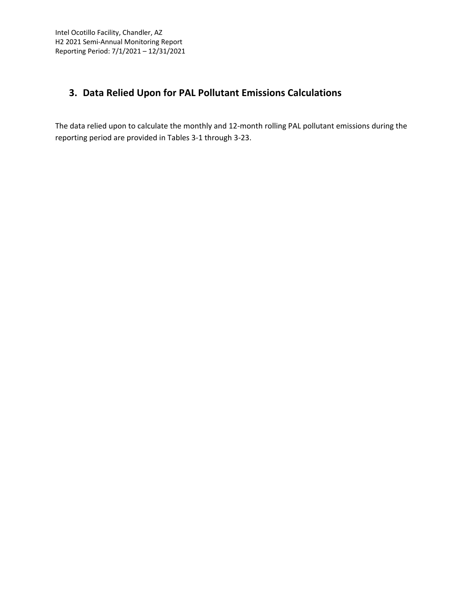## **3. Data Relied Upon for PAL Pollutant Emissions Calculations**

The data relied upon to calculate the monthly and 12‐month rolling PAL pollutant emissions during the reporting period are provided in Tables 3‐1 through 3‐23.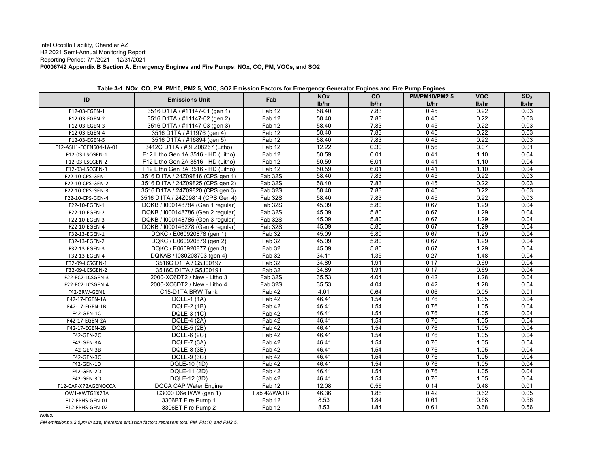#### Intel Ocotillo Facility, Chandler AZ H2 2021 Semi-Annual Monitoring Report Reporting Period: 7/1/2021 – 12/31/2021 **P0006742 Appendix B Section A. Emergency Engines and Fire Pumps: NOx, CO, PM, VOCs, and SO2**

| ID                     | <b>Emissions Unit</b>              | Fab                  | <b>NO<sub>x</sub></b> | <b>CO</b> | <b>PM/PM10/PM2.5</b> | <b>VOC</b> | SO <sub>2</sub> |
|------------------------|------------------------------------|----------------------|-----------------------|-----------|----------------------|------------|-----------------|
|                        |                                    |                      | lb/hr                 | lb/hr     | lb/hr                | lb/hr      | lb/hr           |
| F12-03-EGEN-1          | 3516 D1TA / #11147-01 (gen 1)      | Fab 12               | 58.40                 | 7.83      | 0.45                 | 0.22       | 0.03            |
| F12-03-EGEN-2          | 3516 D1TA / #11147-02 (gen 2)      | Fab 12               | 58.40                 | 7.83      | 0.45                 | 0.22       | 0.03            |
| F12-03-EGEN-3          | 3516 D1TA / #11147-03 (gen 3)      | Fab 12               | 58.40                 | 7.83      | 0.45                 | 0.22       | 0.03            |
| F12-03-EGEN-4          | 3516 D1TA / #11976 (gen 4)         | Fab 12               | 58.40                 | 7.83      | 0.45                 | 0.22       | 0.03            |
| F12-03-EGEN-5          | 3516 D1TA / #16894 (gen 5)         | $\overline{F}$ ab 12 | 58.40                 | 7.83      | 0.45                 | 0.22       | 0.03            |
| F12-ASH1-EGEN604-1A-01 | 3412C D1TA / #3FZ08267 (Litho)     | Fab 12               | 12.22                 | 0.30      | 0.56                 | 0.07       | 0.01            |
| F12-03-LSCGEN-1        | F12 Litho Gen 1A 3516 - HD (Litho) | Fab 12               | 50.59                 | 6.01      | 0.41                 | 1.10       | 0.04            |
| F12-03-LSCGEN-2        | F12 Litho Gen 2A 3516 - HD (Litho) | Fab 12               | 50.59                 | 6.01      | 0.41                 | 1.10       | 0.04            |
| F12-03-LSCGEN-3        | F12 Litho Gen 3A 3516 - HD (Litho) | Fab 12               | 50.59                 | 6.01      | 0.41                 | 1.10       | 0.04            |
| F22-10-CPS-GEN-1       | 3516 D1TA / 24Z09816 (CPS gen 1)   | <b>Fab 32S</b>       | 58.40                 | 7.83      | 0.45                 | 0.22       | 0.03            |
| F22-10-CPS-GEN-2       | 3516 D1TA / 24Z09825 (CPS gen 2)   | Fab 32S              | 58.40                 | 7.83      | 0.45                 | 0.22       | 0.03            |
| F22-10-CPS-GEN-3       | 3516 D1TA / 24Z09820 (CPS gen 3)   | Fab 32S              | 58.40                 | 7.83      | 0.45                 | 0.22       | 0.03            |
| F22-10-CPS-GEN-4       | 3516 D1TA / 24Z09814 (CPS Gen 4)   | Fab 32S              | 58.40                 | 7.83      | 0.45                 | 0.22       | 0.03            |
| F22-10-EGEN-1          | DQKB / 1000148784 (Gen 1 regular)  | Fab 32S              | 45.09                 | 5.80      | 0.67                 | 1.29       | 0.04            |
| F22-10-EGEN-2          | DQKB / 1000148786 (Gen 2 regular)  | Fab 32S              | 45.09                 | 5.80      | 0.67                 | 1.29       | 0.04            |
| F22-10-EGEN-3          | DQKB / 1000148785 (Gen 3 regular)  | Fab 32S              | 45.09                 | 5.80      | 0.67                 | 1.29       | 0.04            |
| F22-10-EGEN-4          | DQKB / 1000146278 (Gen 4 regular)  | Fab 32S              | 45.09                 | 5.80      | 0.67                 | 1.29       | 0.04            |
| F32-13-EGEN-1          | DQKC / E060920878 (gen 1)          | Fab 32               | 45.09                 | 5.80      | 0.67                 | 1.29       | 0.04            |
| F32-13-EGEN-2          | DQKC / E060920879 (gen 2)          | Fab 32               | 45.09                 | 5.80      | 0.67                 | 1.29       | 0.04            |
| F32-13-EGEN-3          | DQKC / E060920877 (gen 3)          | Fab 32               | 45.09                 | 5.80      | 0.67                 | 1.29       | 0.04            |
| F32-13-EGEN-4          | DQKAB / 1080208703 (gen 4)         | Fab 32               | 34.11                 | 1.35      | 0.27                 | 1.48       | 0.04            |
| F32-09-LCSGEN-1        | 3516C D1TA / G5J00197              | Fab 32               | 34.89                 | 1.91      | 0.17                 | 0.69       | 0.04            |
| F32-09-LCSGEN-2        | 3516C D1TA / G5J00191              | Fab 32               | 34.89                 | 1.91      | 0.17                 | 0.69       | 0.04            |
| F22-EC2-LCSGEN-3       | 2000-XC6DT2 / New - Litho 3        | Fab 32S              | 35.53                 | 4.04      | 0.42                 | 1.28       | 0.04            |
| F22-EC2-LCSGEN-4       | 2000-XC6DT2 / New - Litho 4        | Fab 32S              | 35.53                 | 4.04      | 0.42                 | 1.28       | 0.04            |
| F42-BRW-GEN1           | C15-D1TA BRW Tank                  | Fab 42               | 4.01                  | 0.64      | 0.06                 | 0.05       | 0.01            |
| F42-17-EGEN-1A         | <b>DQLE-1 (1A)</b>                 | Fab 42               | 46.41                 | 1.54      | 0.76                 | 1.05       | 0.04            |
| F42-17-EGEN-1B         | DQLE-2 (1B)                        | Fab 42               | 46.41                 | 1.54      | 0.76                 | 1.05       | 0.04            |
| F42-GEN-1C             | DQLE-3 (1C)                        | Fab 42               | 46.41                 | 1.54      | 0.76                 | 1.05       | 0.04            |
| F42-17-EGEN-2A         | <b>DQLE-4 (2A)</b>                 | Fab 42               | 46.41                 | 1.54      | 0.76                 | 1.05       | 0.04            |
| F42-17-EGEN-2B         | DQLE-5 (2B)                        | Fab 42               | 46.41                 | 1.54      | 0.76                 | 1.05       | 0.04            |
| F42-GEN-2C             | DQLE-6 (2C)                        | Fab 42               | 46.41                 | 1.54      | 0.76                 | 1.05       | 0.04            |
| F42-GEN-3A             | DQLE-7 (3A)                        | Fab 42               | 46.41                 | 1.54      | 0.76                 | 1.05       | 0.04            |
| F42-GEN-3B             | DQLE-8 (3B)                        | Fab 42               | 46.41                 | 1.54      | 0.76                 | 1.05       | 0.04            |
| F42-GEN-3C             | DQLE-9 (3C)                        | Fab 42               | 46.41                 | 1.54      | 0.76                 | 1.05       | 0.04            |
| F42-GEN-1D             | DQLE-10 (1D)                       | Fab 42               | 46.41                 | 1.54      | 0.76                 | 1.05       | 0.04            |
| F42-GEN-2D             | DQLE-11 (2D)                       | Fab 42               | 46.41                 | 1.54      | 0.76                 | 1.05       | 0.04            |
| F42-GEN-3D             | DQLE-12 (3D)                       | Fab 42               | 46.41                 | 1.54      | 0.76                 | 1.05       | 0.04            |
| F12-CAP-X72AGENOCCA    | <b>DQCA CAP Water Engine</b>       | Fab 12               | 12.08                 | 0.56      | 0.14                 | 0.48       | 0.01            |
| OW1-XWTG1X23A          | C3000 D6e IWW (gen 1)              | Fab 42/WATR          | 46.36                 | 1.86      | 0.42                 | 0.62       | 0.05            |
| F12-FPHS-GEN-01        | 3306BT Fire Pump 1                 | Fab12                | 8.53                  | 1.84      | 0.61                 | 0.68       | 0.56            |
| F12-FPHS-GEN-02        | 3306BT Fire Pump 2                 | Fab 12               | 8.53                  | 1.84      | 0.61                 | 0.68       | 0.56            |

|  | Table 3-1. NOx, CO, PM, PM10, PM2.5, VOC, SO2 Emission Factors for Emergency Generator Engines and Fire Pump Engines |
|--|----------------------------------------------------------------------------------------------------------------------|
|  |                                                                                                                      |

*Notes:*

*PM emissions ≤ 2.5µm in size, therefore emission factors represent total PM, PM10, and PM2.5.*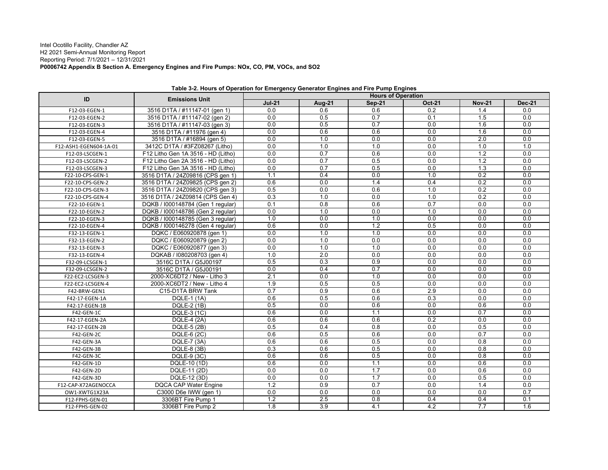#### Intel Ocotillo Facility, Chandler AZ H2 2021 Semi-Annual Monitoring Report Reporting Period: 7/1/2021 – 12/31/2021 **P0006742 Appendix B Section A. Emergency Engines and Fire Pumps: NOx, CO, PM, VOCs, and SO2**

| ID                     | <b>Emissions Unit</b>              | <b>Hours of Operation</b> |                  |                  |                  |                  |               |  |
|------------------------|------------------------------------|---------------------------|------------------|------------------|------------------|------------------|---------------|--|
|                        |                                    | $Jul-21$                  | <b>Aug-21</b>    | <b>Sep-21</b>    | <b>Oct-21</b>    | <b>Nov-21</b>    | <b>Dec-21</b> |  |
| F12-03-EGEN-1          | 3516 D1TA / #11147-01 (gen 1)      | 0.0                       | 0.6              | 0.6              | 0.2              | 1.4              | 0.0           |  |
| F12-03-EGEN-2          | 3516 D1TA / #11147-02 (gen 2)      | 0.0                       | 0.5              | 0.7              | 0.1              | 1.5              | 0.0           |  |
| F12-03-EGEN-3          | 3516 D1TA / #11147-03 (gen 3)      | 0.0                       | 0.5              | 0.7              | 0.0              | 1.6              | 0.0           |  |
| F12-03-EGEN-4          | 3516 D1TA / #11976 (gen 4)         | 0.0                       | 0.6              | 0.6              | 0.0              | 1.6              | 0.0           |  |
| F12-03-EGEN-5          | 3516 D1TA / #16894 (gen 5)         | 0.0                       | 1.0              | 0.0              | 0.0              | 2.0              | 0.0           |  |
| F12-ASH1-EGEN604-1A-01 | 3412C D1TA / #3FZ08267 (Litho)     | 0.0                       | 1.0              | 1.0              | 0.0              | 1.0              | 1.0           |  |
| F12-03-LSCGEN-1        | F12 Litho Gen 1A 3516 - HD (Litho) | 0.0                       | 0.7              | 0.6              | 0.0              | $\overline{1.2}$ | 0.0           |  |
| F12-03-LSCGEN-2        | F12 Litho Gen 2A 3516 - HD (Litho) | 0.0                       | 0.7              | 0.5              | $\overline{0.0}$ | $\overline{1.2}$ | 0.0           |  |
| F12-03-LSCGEN-3        | F12 Litho Gen 3A 3516 - HD (Litho) | 0.0                       | 0.7              | 0.5              | 0.0              | 1.3              | 0.0           |  |
| F22-10-CPS-GEN-1       | 3516 D1TA / 24Z09816 (CPS gen 1)   | 1.1                       | 0.4              | 0.0              | 1.0              | 0.2              | 0.0           |  |
| F22-10-CPS-GEN-2       | 3516 D1TA / 24Z09825 (CPS gen 2)   | 0.6                       | 0.0              | 1.4              | 0.4              | 0.2              | 0.0           |  |
| F22-10-CPS-GEN-3       | 3516 D1TA / 24Z09820 (CPS gen 3)   | 0.5                       | 0.0              | 0.6              | 1.0              | 0.2              | 0.0           |  |
| F22-10-CPS-GEN-4       | 3516 D1TA / 24Z09814 (CPS Gen 4)   | $\overline{0.3}$          | 1.0              | 0.0              | 1.0              | $\overline{0.2}$ | 0.0           |  |
| F22-10-EGEN-1          | DQKB / 1000148784 (Gen 1 regular)  | 0.1                       | 0.8              | 0.6              | 0.7              | 0.0              | 0.0           |  |
| F22-10-EGEN-2          | DQKB / 1000148786 (Gen 2 regular)  | 0.0                       | 1.0              | 0.0              | 1.0              | 0.0              | 0.0           |  |
| F22-10-EGEN-3          | DQKB / 1000148785 (Gen 3 regular)  | 1.0                       | 0.0              | 1.0              | $\overline{0.0}$ | 0.0              | 0.0           |  |
| F22-10-EGEN-4          | DQKB / 1000146278 (Gen 4 regular)  | 0.6                       | 0.0              | $\overline{1.2}$ | 0.5              | 0.0              | 0.0           |  |
| F32-13-EGEN-1          | DQKC / E060920878 (gen 1)          | 0.0                       | 1.0              | 1.0              | 0.0              | 0.0              | 0.0           |  |
| F32-13-EGEN-2          | DQKC / E060920879 (gen 2)          | 0.0                       | 1.0              | 0.0              | 0.0              | 0.0              | 0.0           |  |
| F32-13-EGEN-3          | DQKC / E060920877 (gen 3)          | 0.0                       | 1.0              | 1.0              | 0.0              | 0.0              | 0.0           |  |
| F32-13-EGEN-4          | DQKAB / 1080208703 (gen 4)         | 1.0                       | 2.0              | 0.0              | 0.0              | 0.0              | 0.0           |  |
| F32-09-LCSGEN-1        | 3516C D1TA / G5J00197              | 0.5                       | 0.3              | 0.9              | $\overline{0.0}$ | 0.0              | 0.0           |  |
| F32-09-LCSGEN-2        | 3516C D1TA / G5J00191              | 0.0                       | 0.4              | 0.7              | $\overline{0.0}$ | 0.0              | 0.0           |  |
| F22-EC2-LCSGEN-3       | 2000-XC6DT2 / New - Litho 3        | 2.1                       | 0.0              | 1.0              | 0.0              | 0.0              | 0.0           |  |
| F22-EC2-LCSGEN-4       | 2000-XC6DT2 / New - Litho 4        | 1.9                       | 0.5              | 0.5              | $\overline{0.0}$ | 0.0              | 0.0           |  |
| F42-BRW-GEN1           | C15-D1TA BRW Tank                  | 0.7                       | 0.9              | 0.6              | 2.9              | 0.0              | 0.0           |  |
| F42-17-EGEN-1A         | <b>DQLE-1 (1A)</b>                 | 0.6                       | 0.5              | 0.6              | 0.3              | 0.0              | 0.0           |  |
| F42-17-EGEN-1B         | DQLE-2 (1B)                        | 0.5                       | 0.0              | 0.6              | 0.0              | 0.6              | 0.0           |  |
| F42-GEN-1C             | DQLE-3 (1C)                        | 0.6                       | 0.0              | 1.1              | 0.0              | 0.7              | 0.0           |  |
| F42-17-EGEN-2A         | <b>DQLE-4 (2A)</b>                 | 0.6                       | 0.6              | 0.6              | $\overline{0.2}$ | 0.0              | 0.0           |  |
| F42-17-EGEN-2B         | DQLE-5 (2B)                        | 0.5                       | 0.4              | 0.8              | 0.0              | 0.5              | 0.0           |  |
| F42-GEN-2C             | DQLE-6 (2C)                        | 0.6                       | 0.5              | 0.6              | $\overline{0.0}$ | 0.7              | 0.0           |  |
| F42-GEN-3A             | <b>DQLE-7 (3A)</b>                 | 0.6                       | 0.6              | 0.5              | $\overline{0.0}$ | $\overline{0.8}$ | 0.0           |  |
| F42-GEN-3B             | DQLE-8 (3B)                        | 0.3                       | 0.6              | 0.5              | 0.0              | 0.8              | 0.0           |  |
| F42-GEN-3C             | DQLE-9 (3C)                        | 0.6                       | 0.6              | 0.5              | 0.0              | 0.8              | 0.0           |  |
| F42-GEN-1D             | DQLE-10 (1D)                       | 0.6                       | $\overline{0.0}$ | 1.1              | $\overline{0.0}$ | 0.6              | 0.0           |  |
| F42-GEN-2D             | DQLE-11 (2D)                       | 0.0                       | 0.0              | 1.7              | 0.0              | 0.6              | 0.0           |  |
| F42-GEN-3D             | DQLE-12 (3D)                       | 0.0                       | 0.0              | 1.7              | 0.0              | 0.5              | 0.0           |  |
| F12-CAP-X72AGENOCCA    | <b>DQCA CAP Water Engine</b>       | $\overline{1.2}$          | 0.9              | 0.7              | $\overline{0.0}$ | 1.4              | 0.0           |  |
| OW1-XWTG1X23A          | C3000 D6e IWW (gen 1)              | 0.0                       | 0.0              | 0.0              | 0.0              | 0.0              | 0.7           |  |
| F12-FPHS-GEN-01        | 3306BT Fire Pump 1                 | $\overline{1.2}$          | $\overline{2.5}$ | 0.8              | 0.4              | 0.4              | 0.1           |  |
| F12-FPHS-GEN-02        | 3306BT Fire Pump 2                 | $\overline{1.8}$          | $\overline{3.9}$ | $\overline{4.1}$ | 4.2              | 7.7              | 1.6           |  |

**Table 3-2. Hours of Operation for Emergency Generator Engines and Fire Pump Engines**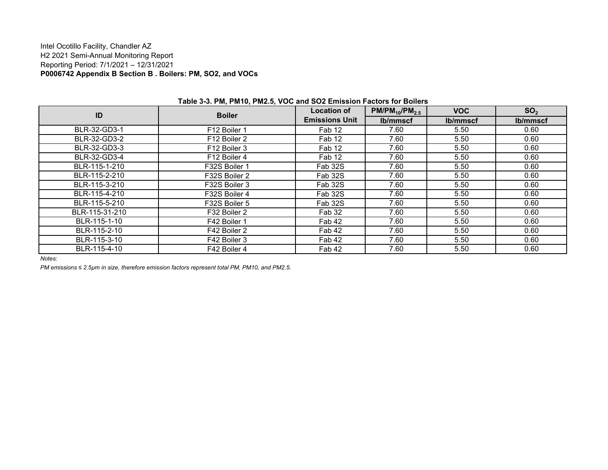#### Intel Ocotillo Facility, Chandler AZ H2 2021 Semi-Annual Monitoring Report Reporting Period: 7/1/2021 – 12/31/2021 **P0006742 Appendix B Section B . Boilers: PM, SO2, and VOCs**

| ID             | <b>Boiler</b>            | <b>Location of</b>    | $PM/PM_{10}/PM_{2.5}$ | <b>VOC</b> | SO <sub>2</sub> |
|----------------|--------------------------|-----------------------|-----------------------|------------|-----------------|
|                |                          | <b>Emissions Unit</b> | lb/mmscf              | lb/mmscf   | lb/mmscf        |
| BLR-32-GD3-1   | F12 Boiler 1             | Fab 12                | 7.60                  | 5.50       | 0.60            |
| BLR-32-GD3-2   | F <sub>12</sub> Boiler 2 | Fab 12                | 7.60                  | 5.50       | 0.60            |
| BLR-32-GD3-3   | F12 Boiler 3             | Fab 12                | 7.60                  | 5.50       | 0.60            |
| BLR-32-GD3-4   | F12 Boiler 4             | Fab 12                | 7.60                  | 5.50       | 0.60            |
| BLR-115-1-210  | F32S Boiler 1            | Fab 32S               | 7.60                  | 5.50       | 0.60            |
| BLR-115-2-210  | F32S Boiler 2            | Fab 32S               | 7.60                  | 5.50       | 0.60            |
| BLR-115-3-210  | F32S Boiler 3            | Fab 32S               | 7.60                  | 5.50       | 0.60            |
| BLR-115-4-210  | F32S Boiler 4            | Fab 32S               | 7.60                  | 5.50       | 0.60            |
| BLR-115-5-210  | F32S Boiler 5            | Fab 32S               | 7.60                  | 5.50       | 0.60            |
| BLR-115-31-210 | F32 Boiler 2             | Fab 32                | 7.60                  | 5.50       | 0.60            |
| BLR-115-1-10   | F42 Boiler 1             | Fab 42                | 7.60                  | 5.50       | 0.60            |
| BLR-115-2-10   | F42 Boiler 2             | Fab 42                | 7.60                  | 5.50       | 0.60            |
| BLR-115-3-10   | F42 Boiler 3             | Fab 42                | 7.60                  | 5.50       | 0.60            |
| BLR-115-4-10   | F42 Boiler 4             | Fab 42                | 7.60                  | 5.50       | 0.60            |

#### **Table 3-3. PM, PM10, PM2.5, VOC and SO2 Emission Factors for Boilers**

*Notes:*

*PM emissions ≤ 2.5µm in size, therefore emission factors represent total PM, PM10, and PM2.5.*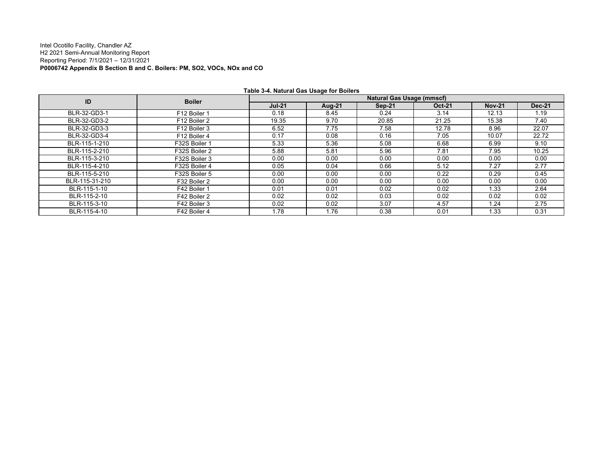#### Intel Ocotillo Facility, Chandler AZ H2 2021 Semi-Annual Monitoring Report Reporting Period: 7/1/2021 – 12/31/2021 **P0006742 Appendix B Section B and C. Boilers: PM, SO2, VOCs, NOx and CO**

|                |               |               |        | <b>Natural Gas Usage (mmscf)</b> |               |               |               |
|----------------|---------------|---------------|--------|----------------------------------|---------------|---------------|---------------|
| ID             | <b>Boiler</b> | <b>Jul-21</b> | Aug-21 | Sep-21                           | <b>Oct-21</b> | <b>Nov-21</b> | <b>Dec-21</b> |
| BLR-32-GD3-1   | F12 Boiler 1  | 0.18          | 8.45   | 0.24                             | 3.14          | 12.13         | 1.19          |
| BLR-32-GD3-2   | F12 Boiler 2  | 19.35         | 9.70   | 20.85                            | 21.25         | 15.38         | 7.40          |
| BLR-32-GD3-3   | F12 Boiler 3  | 6.52          | 7.75   | 7.58                             | 12.78         | 8.96          | 22.07         |
| BLR-32-GD3-4   | F12 Boiler 4  | 0.17          | 0.08   | 0.16                             | 7.05          | 10.07         | 22.72         |
| BLR-115-1-210  | F32S Boiler 1 | 5.33          | 5.36   | 5.08                             | 6.68          | 6.99          | 9.10          |
| BLR-115-2-210  | F32S Boiler 2 | 5.88          | 5.81   | 5.96                             | 7.81          | 7.95          | 10.25         |
| BLR-115-3-210  | F32S Boiler 3 | 0.00          | 0.00   | 0.00                             | 0.00          | 0.00          | 0.00          |
| BLR-115-4-210  | F32S Boiler 4 | 0.05          | 0.04   | 0.66                             | 5.12          | 7.27          | 2.77          |
| BLR-115-5-210  | F32S Boiler 5 | 0.00          | 0.00   | 0.00                             | 0.22          | 0.29          | 0.45          |
| BLR-115-31-210 | F32 Boiler 2  | 0.00          | 0.00   | 0.00                             | 0.00          | 0.00          | 0.00          |
| BLR-115-1-10   | F42 Boiler 1  | 0.01          | 0.01   | 0.02                             | 0.02          | 1.33          | 2.64          |
| BLR-115-2-10   | F42 Boiler 2  | 0.02          | 0.02   | 0.03                             | 0.02          | 0.02          | 0.02          |
| BLR-115-3-10   | F42 Boiler 3  | 0.02          | 0.02   | 3.07                             | 4.57          | 1.24          | 2.75          |
| BLR-115-4-10   | F42 Boiler 4  | 1.78          | 1.76   | 0.38                             | 0.01          | 1.33          | 0.31          |

**Table 3-4. Natural Gas Usage for Boilers**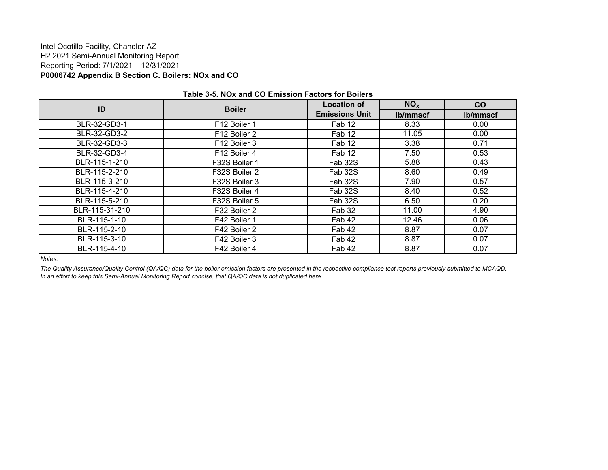#### Intel Ocotillo Facility, Chandler AZ H2 2021 Semi-Annual Monitoring Report Reporting Period: 7/1/2021 – 12/31/2021 **P0006742 Appendix B Section C. Boilers: NOx and CO**

| ID             | <b>Boiler</b> | <b>Location of</b>    | NO <sub>x</sub> | co       |  |  |  |
|----------------|---------------|-----------------------|-----------------|----------|--|--|--|
|                |               | <b>Emissions Unit</b> | lb/mmscf        | lb/mmscf |  |  |  |
| BLR-32-GD3-1   | F12 Boiler 1  | Fab 12                | 8.33            | 0.00     |  |  |  |
| BLR-32-GD3-2   | F12 Boiler 2  | Fab 12                | 11.05           | 0.00     |  |  |  |
| BLR-32-GD3-3   | F12 Boiler 3  | Fab 12                | 3.38            | 0.71     |  |  |  |
| BLR-32-GD3-4   | F12 Boiler 4  | Fab 12                | 7.50            | 0.53     |  |  |  |
| BLR-115-1-210  | F32S Boiler 1 | Fab 32S               | 5.88            | 0.43     |  |  |  |
| BLR-115-2-210  | F32S Boiler 2 | Fab 32S               | 8.60            | 0.49     |  |  |  |
| BLR-115-3-210  | F32S Boiler 3 | Fab 32S               | 7.90            | 0.57     |  |  |  |
| BLR-115-4-210  | F32S Boiler 4 | Fab 32S               | 8.40            | 0.52     |  |  |  |
| BLR-115-5-210  | F32S Boiler 5 | Fab 32S               | 6.50            | 0.20     |  |  |  |
| BLR-115-31-210 | F32 Boiler 2  | Fab 32                | 11.00           | 4.90     |  |  |  |
| BLR-115-1-10   | F42 Boiler 1  | Fab 42                | 12.46           | 0.06     |  |  |  |
| BLR-115-2-10   | F42 Boiler 2  | Fab 42                | 8.87            | 0.07     |  |  |  |
| BLR-115-3-10   | F42 Boiler 3  | Fab 42                | 8.87            | 0.07     |  |  |  |
| BLR-115-4-10   | F42 Boiler 4  | Fab 42                | 8.87            | 0.07     |  |  |  |

#### **Table 3-5. NOx and CO Emission Factors for Boilers**

*Notes:*

*The Quality Assurance/Quality Control (QA/QC) data for the boiler emission factors are presented in the respective compliance test reports previously submitted to MCAQD. In an effort to keep this Semi-Annual Monitoring Report concise, that QA/QC data is not duplicated here.*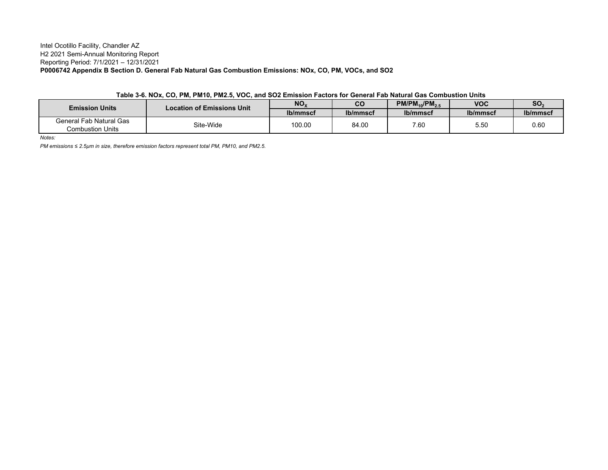#### Intel Ocotillo Facility, Chandler AZ H2 2021 Semi-Annual Monitoring Report Reporting Period: 7/1/2021 – 12/31/2021 **P0006742 Appendix B Section D. General Fab Natural Gas Combustion Emissions: NOx, CO, PM, VOCs, and SO2**

|  |  |  |  |  |  | Table 3-6. NOx, CO, PM, PM10, PM2.5, VOC, and SO2 Emission Factors for General Fab Natural Gas Combustion Units |
|--|--|--|--|--|--|-----------------------------------------------------------------------------------------------------------------|
|--|--|--|--|--|--|-----------------------------------------------------------------------------------------------------------------|

| <b>Emission Units</b>                       | <b>Location of Emissions Unit</b> | NO <sub>x</sub> | CO       | $PM/PM_{10}/PM_{2.5}$ | <b>VOC</b> | SO <sub>3</sub> |
|---------------------------------------------|-----------------------------------|-----------------|----------|-----------------------|------------|-----------------|
|                                             |                                   | lb/mmscf        | lb/mmscf | lb/mmscf              | lb/mmscf   | lb/mmscf        |
| General Fab Natural Gas<br>Combustion Units | Site-Wide                         | 100.00          | 84.00    | 7.60                  | 5.50       | 0.60            |

*Notes:*

*PM emissions ≤ 2.5µm in size, therefore emission factors represent total PM, PM10, and PM2.5.*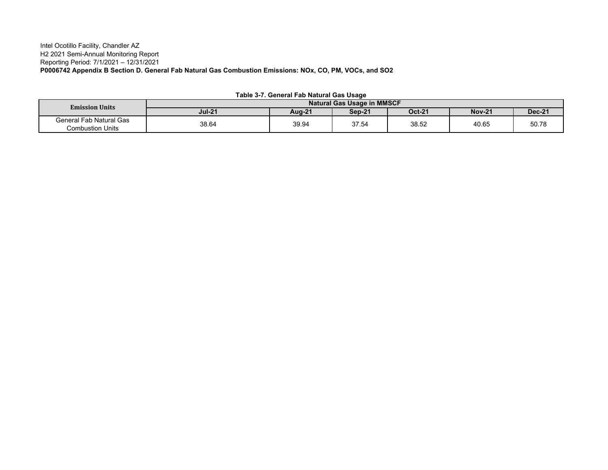#### Intel Ocotillo Facility, Chandler AZ H2 2021 Semi-Annual Monitoring Report Reporting Period: 7/1/2021 – 12/31/2021 **P0006742 Appendix B Section D. General Fab Natural Gas Combustion Emissions: NOx, CO, PM, VOCs, and SO2**

| <b>Emission Units</b>                              | <b>Natural Gas Usage in MMSCF</b> |               |        |               |               |               |  |  |  |  |
|----------------------------------------------------|-----------------------------------|---------------|--------|---------------|---------------|---------------|--|--|--|--|
|                                                    | <b>Jul-21</b>                     | <b>Aug-21</b> | Sep-21 | <b>Oct-21</b> | <b>Nov-21</b> | <b>Dec-21</b> |  |  |  |  |
| General Fab Natural Gas<br><b>Combustion Units</b> | 38.64                             | 39.94         | 37.54  | 38.52         | 40.65         | 50.78         |  |  |  |  |

| Table 3-7. General Fab Natural Gas Usage |
|------------------------------------------|
|------------------------------------------|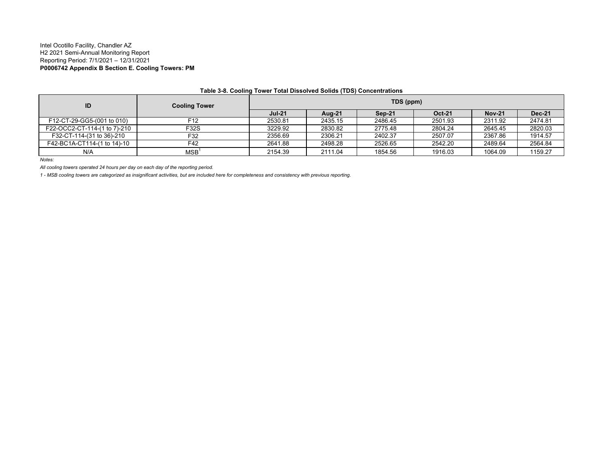#### Intel Ocotillo Facility, Chandler AZ H2 2021 Semi-Annual Monitoring Report Reporting Period: 7/1/2021 – 12/31/2021 **P0006742 Appendix B Section E. Cooling Towers: PM**

| ID                           | <b>Cooling Tower</b>                       | TDS (ppm)     |         |         |               |               |               |  |  |
|------------------------------|--------------------------------------------|---------------|---------|---------|---------------|---------------|---------------|--|--|
|                              |                                            | <b>Jul-21</b> | Aug-21  | Sep-21  | <b>Oct-21</b> | <b>Nov-21</b> | <b>Dec-21</b> |  |  |
| F12-CT-29-GG5-(001 to 010)   | F12                                        | 2530.81       | 2435.15 | 2486.45 | 2501.93       | 2311.92       | 2474.81       |  |  |
| F22-OCC2-CT-114-(1 to 7)-210 | F32S                                       | 3229.92       | 2830.82 | 2775.48 | 2804.24       | 2645.45       | 2820.03       |  |  |
| F32-CT-114-(31 to 36)-210    | F32                                        | 2356.69       | 2306.21 | 2402.37 | 2507.07       | 2367.86       | 1914.57       |  |  |
| F42-BC1A-CT114-(1 to 14)-10  | F42                                        | 2641.88       | 2498.28 | 2526.65 | 2542.20       | 2489.64       | 2564.84       |  |  |
| N/A                          | $MSB$ <sup><math>\overline{ }</math></sup> | 2154.39       | 2111.04 | 1854.56 | 1916.03       | 1064.09       | 1159.27       |  |  |

#### **Table 3-8. Cooling Tower Total Dissolved Solids (TDS) Concentrations**

*Notes:*

*All cooling towers operated 24 hours per day on each day of the reporting period.* 

*1 - MSB cooling towers are categorized as insignificant activities, but are included here for completeness and consistency with previous reporting.*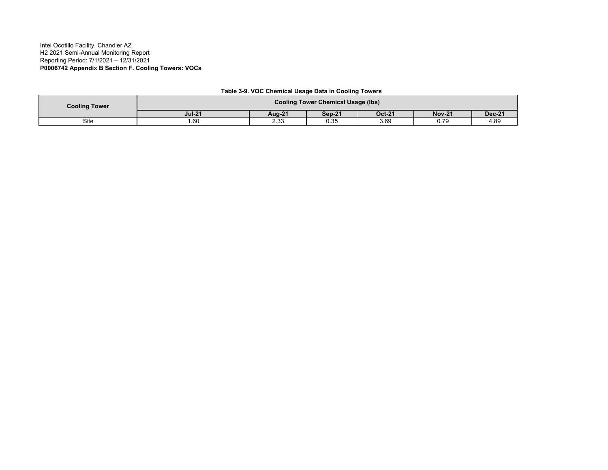#### Intel Ocotillo Facility, Chandler AZ H2 2021 Semi-Annual Monitoring Report Reporting Period: 7/1/2021 – 12/31/2021 **P0006742 Appendix B Section F. Cooling Towers: VOCs**

| <b>Cooling Tower</b> | <b>Cooling Tower Chemical Usage (lbs)</b> |               |               |               |               |               |  |  |  |
|----------------------|-------------------------------------------|---------------|---------------|---------------|---------------|---------------|--|--|--|
|                      | <b>Jul-21</b>                             | <b>Aug-21</b> | <b>Sep-21</b> | <b>Oct-21</b> | <b>Nov-21</b> | <b>Dec-21</b> |  |  |  |
| Site                 | l.60                                      | ה ה<br>د.بء   | 0.35          | 3.69          | 0.79          | 4.89          |  |  |  |

#### **Table 3-9. VOC Chemical Usage Data in Cooling Towers**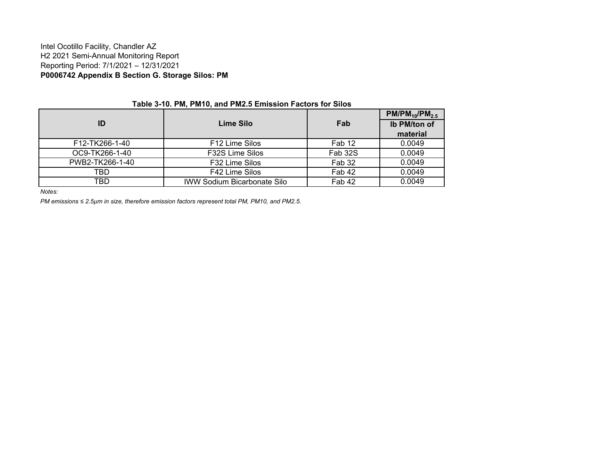#### Intel Ocotillo Facility, Chandler AZ H2 2021 Semi-Annual Monitoring Report Reporting Period: 7/1/2021 – 12/31/2021 **P0006742 Appendix B Section G. Storage Silos: PM**

|                 |                                    |         | $PM/PM_{10}/PM_{2.5}$ |  |  |  |  |  |  |  |  |
|-----------------|------------------------------------|---------|-----------------------|--|--|--|--|--|--|--|--|
| ID              | Lime Silo                          | Fab     | Ib PM/ton of          |  |  |  |  |  |  |  |  |
|                 |                                    |         | material              |  |  |  |  |  |  |  |  |
| F12-TK266-1-40  | F <sub>12</sub> Lime Silos         | Fab 12  | 0.0049                |  |  |  |  |  |  |  |  |
| OC9-TK266-1-40  | F32S Lime Silos                    | Fab 32S | 0.0049                |  |  |  |  |  |  |  |  |
| PWB2-TK266-1-40 | F32 Lime Silos                     | Fab 32  | 0.0049                |  |  |  |  |  |  |  |  |
| TBD.            | F42 Lime Silos                     | Fab 42  | 0.0049                |  |  |  |  |  |  |  |  |
| TBD             | <b>IWW Sodium Bicarbonate Silo</b> | Fab 42  | 0.0049                |  |  |  |  |  |  |  |  |

**Table 3-10. PM, PM10, and PM2.5 Emission Factors for Silos**

*Notes:*

*PM emissions ≤ 2.5µm in size, therefore emission factors represent total PM, PM10, and PM2.5.*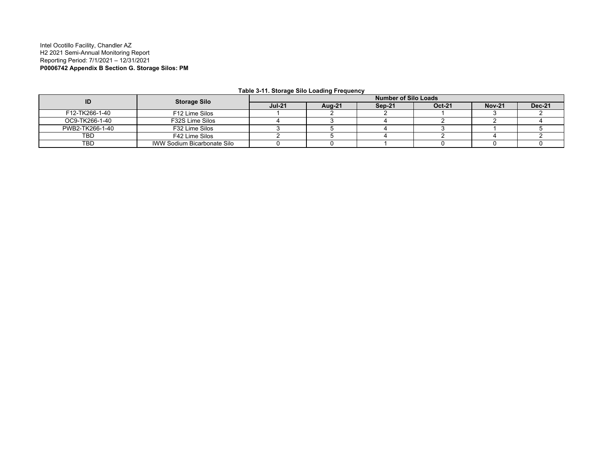#### Intel Ocotillo Facility, Chandler AZ H2 2021 Semi-Annual Monitoring Report Reporting Period: 7/1/2021 – 12/31/2021 **P0006742 Appendix B Section G. Storage Silos: PM**

| ID              | <b>Storage Silo</b>         |               | Number of Silo Loads |        |               |               |               |  |  |  |  |
|-----------------|-----------------------------|---------------|----------------------|--------|---------------|---------------|---------------|--|--|--|--|
|                 |                             | <b>Jul-21</b> | Aug-21               | Sep-21 | <b>Oct-21</b> | <b>Nov-21</b> | <b>Dec-21</b> |  |  |  |  |
| F12-TK266-1-40  | F12 Lime Silos              |               |                      |        |               |               |               |  |  |  |  |
| OC9-TK266-1-40  | F32S Lime Silos             |               |                      |        |               |               |               |  |  |  |  |
| PWB2-TK266-1-40 | F32 Lime Silos              |               |                      |        |               |               |               |  |  |  |  |
| TBD             | F42 Lime Silos              |               |                      |        |               |               |               |  |  |  |  |
| TBD             | IWW Sodium Bicarbonate Silo |               |                      |        |               |               |               |  |  |  |  |

**Table 3-11. Storage Silo Loading Frequency**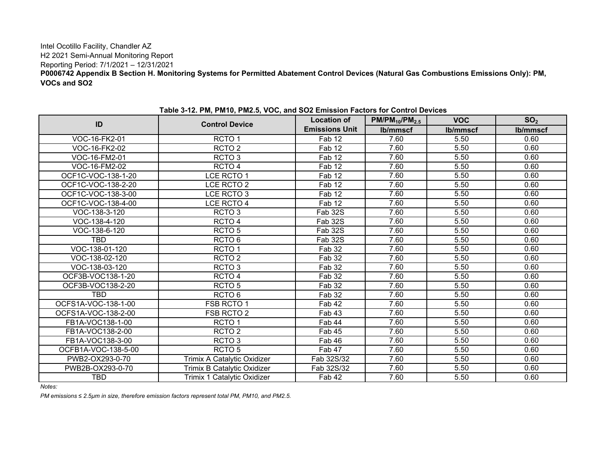#### Intel Ocotillo Facility, Chandler AZ H2 2021 Semi-Annual Monitoring Report Reporting Period: 7/1/2021 – 12/31/2021 **P0006742 Appendix B Section H. Monitoring Systems for Permitted Abatement Control Devices (Natural Gas Combustions Emissions Only): PM, VOCs and SO2**

|                     |                             | <b>Location of</b>    | $PM/PM_{10}/PM_{2.5}$ | <b>VOC</b> | SO <sub>2</sub> |
|---------------------|-----------------------------|-----------------------|-----------------------|------------|-----------------|
| ID                  | <b>Control Device</b>       | <b>Emissions Unit</b> | lb/mmscf              | lb/mmscf   | Ib/mmscf        |
| VOC-16-FK2-01       | RCTO <sub>1</sub>           | Fab 12                | 7.60                  | 5.50       | 0.60            |
| VOC-16-FK2-02       | RCTO <sub>2</sub>           | Fab 12                | 7.60                  | 5.50       | 0.60            |
| VOC-16-FM2-01       | RCTO <sub>3</sub>           | Fab 12                | 7.60                  | 5.50       | 0.60            |
| VOC-16-FM2-02       | RCTO <sub>4</sub>           | Fab 12                | 7.60                  | 5.50       | 0.60            |
| OCF1C-VOC-138-1-20  | LCE RCTO 1                  | Fab 12                | 7.60                  | 5.50       | 0.60            |
| OCF1C-VOC-138-2-20  | LCE RCTO 2                  | Fab 12                | 7.60                  | 5.50       | 0.60            |
| OCF1C-VOC-138-3-00  | LCE RCTO 3                  | Fab 12                | 7.60                  | 5.50       | 0.60            |
| OCF1C-VOC-138-4-00  | LCE RCTO 4                  | Fab 12                | 7.60                  | 5.50       | 0.60            |
| VOC-138-3-120       | RCTO <sub>3</sub>           | <b>Fab 32S</b>        | 7.60                  | 5.50       | 0.60            |
| VOC-138-4-120       | RCTO <sub>4</sub>           | Fab 32S               | 7.60                  | 5.50       | 0.60            |
| VOC-138-6-120       | RCTO <sub>5</sub>           | <b>Fab 32S</b>        | 7.60                  | 5.50       | 0.60            |
| <b>TBD</b>          | RCTO <sub>6</sub>           | Fab 32S               | 7.60                  | 5.50       | 0.60            |
| VOC-138-01-120      | RCTO <sub>1</sub>           | <b>Fab 32</b>         | 7.60                  | 5.50       | 0.60            |
| VOC-138-02-120      | RCTO <sub>2</sub>           | <b>Fab 32</b>         | 7.60                  | 5.50       | 0.60            |
| VOC-138-03-120      | RCTO <sub>3</sub>           | <b>Fab 32</b>         | 7.60                  | 5.50       | 0.60            |
| OCF3B-VOC138-1-20   | RCTO <sub>4</sub>           | <b>Fab 32</b>         | 7.60                  | 5.50       | 0.60            |
| OCF3B-VOC138-2-20   | RCTO <sub>5</sub>           | <b>Fab 32</b>         | 7.60                  | 5.50       | 0.60            |
| TBD                 | RCTO <sub>6</sub>           | <b>Fab 32</b>         | 7.60                  | 5.50       | 0.60            |
| OCFS1A-VOC-138-1-00 | FSB RCTO 1                  | Fab 42                | 7.60                  | 5.50       | 0.60            |
| OCFS1A-VOC-138-2-00 | FSB RCTO 2                  | Fab 43                | 7.60                  | 5.50       | 0.60            |
| FB1A-VOC138-1-00    | RCTO <sub>1</sub>           | Fab 44                | 7.60                  | 5.50       | 0.60            |
| FB1A-VOC138-2-00    | RCTO <sub>2</sub>           | Fab 45                | 7.60                  | 5.50       | 0.60            |
| FB1A-VOC138-3-00    | RCTO <sub>3</sub>           | Fab 46                | 7.60                  | 5.50       | 0.60            |
| OCFB1A-VOC-138-5-00 | RCTO <sub>5</sub>           | Fab 47                | 7.60                  | 5.50       | 0.60            |
| PWB2-OX293-0-70     | Trimix A Catalytic Oxidizer | Fab 32S/32            | 7.60                  | 5.50       | 0.60            |
| PWB2B-OX293-0-70    | Trimix B Catalytic Oxidizer | Fab 32S/32            | 7.60                  | 5.50       | 0.60            |
| TBD                 | Trimix 1 Catalytic Oxidizer | Fab 42                | 7.60                  | 5.50       | 0.60            |

**Table 3-12. PM, PM10, PM2.5, VOC, and SO2 Emission Factors for Control Devices**

*Notes:*

*PM emissions ≤ 2.5µm in size, therefore emission factors represent total PM, PM10, and PM2.5.*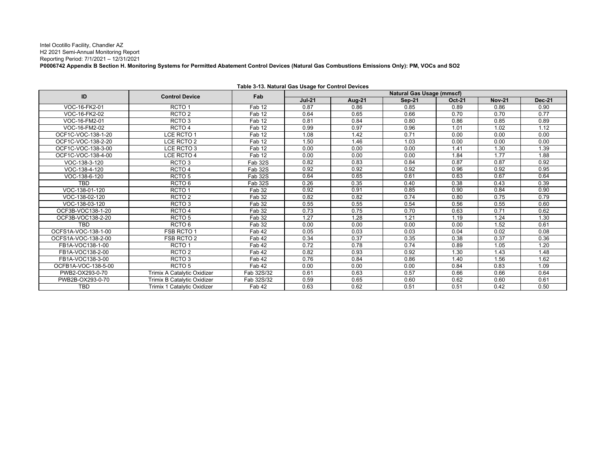Intel Ocotillo Facility, Chandler AZ H2 2021 Semi-Annual Monitoring Report Reporting Period: 7/1/2021 – 12/31/2021 **P0006742 Appendix B Section H. Monitoring Systems for Permitted Abatement Control Devices (Natural Gas Combustions Emissions Only): PM, VOCs and SO2**

| ID                  |                             | Fab        |               |        | <b>Natural Gas Usage (mmscf)</b> |               |               |               |
|---------------------|-----------------------------|------------|---------------|--------|----------------------------------|---------------|---------------|---------------|
|                     | <b>Control Device</b>       |            | <b>Jul-21</b> | Aug-21 | <b>Sep-21</b>                    | <b>Oct-21</b> | <b>Nov-21</b> | <b>Dec-21</b> |
| VOC-16-FK2-01       | RCTO <sub>1</sub>           | Fab 12     | 0.87          | 0.86   | 0.85                             | 0.89          | 0.86          | 0.90          |
| VOC-16-FK2-02       | RCTO <sub>2</sub>           | Fab 12     | 0.64          | 0.65   | 0.66                             | 0.70          | 0.70          | 0.77          |
| VOC-16-FM2-01       | RCTO <sub>3</sub>           | Fab 12     | 0.81          | 0.84   | 0.80                             | 0.86          | 0.85          | 0.89          |
| VOC-16-FM2-02       | RCTO <sub>4</sub>           | Fab 12     | 0.99          | 0.97   | 0.96                             | 1.01          | 1.02          | 1.12          |
| OCF1C-VOC-138-1-20  | LCE RCTO 1                  | Fab 12     | 1.08          | 1.42   | 0.71                             | 0.00          | 0.00          | 0.00          |
| OCF1C-VOC-138-2-20  | LCE RCTO 2                  | Fab 12     | 1.50          | 1.46   | 1.03                             | 0.00          | 0.00          | 0.00          |
| OCF1C-VOC-138-3-00  | LCE RCTO 3                  | Fab 12     | 0.00          | 0.00   | 0.00                             | 1.41          | 1.30          | 1.39          |
| OCF1C-VOC-138-4-00  | LCE RCTO 4                  | Fab 12     | 0.00          | 0.00   | 0.00                             | 1.84          | 1.77          | 1.88          |
| VOC-138-3-120       | RCTO <sub>3</sub>           | Fab 32S    | 0.82          | 0.83   | 0.84                             | 0.87          | 0.87          | 0.92          |
| VOC-138-4-120       | RCTO <sub>4</sub>           | Fab 32S    | 0.92          | 0.92   | 0.92                             | 0.96          | 0.92          | 0.95          |
| VOC-138-6-120       | RCTO <sub>5</sub>           | Fab 32S    | 0.64          | 0.65   | 0.61                             | 0.63          | 0.67          | 0.64          |
| TBD                 | RCTO <sub>6</sub>           | Fab 32S    | 0.26          | 0.35   | 0.40                             | 0.38          | 0.43          | 0.39          |
| VOC-138-01-120      | RCTO <sub>1</sub>           | Fab 32     | 0.92          | 0.91   | 0.85                             | 0.90          | 0.84          | 0.90          |
| VOC-138-02-120      | RCTO <sub>2</sub>           | Fab 32     | 0.82          | 0.82   | 0.74                             | 0.80          | 0.75          | 0.79          |
| VOC-138-03-120      | RCTO <sub>3</sub>           | Fab 32     | 0.55          | 0.55   | 0.54                             | 0.56          | 0.55          | 0.60          |
| OCF3B-VOC138-1-20   | RCTO <sub>4</sub>           | Fab 32     | 0.73          | 0.75   | 0.70                             | 0.63          | 0.71          | 0.62          |
| OCF3B-VOC138-2-20   | RCTO <sub>5</sub>           | Fab 32     | 1.27          | 1.28   | 1.21                             | 1.19          | 1.24          | 1.30          |
| TBD                 | RCTO <sub>6</sub>           | Fab 32     | 0.00          | 0.00   | 0.00                             | 0.00          | 1.52          | 0.61          |
| OCFS1A-VOC-138-1-00 | FSB RCTO 1                  | Fab 42     | 0.05          | 0.03   | 0.03                             | 0.04          | 0.02          | 0.08          |
| OCFS1A-VOC-138-2-00 | FSB RCTO 2                  | Fab 42     | 0.34          | 0.37   | 0.35                             | 0.38          | 0.37          | 0.36          |
| FB1A-VOC138-1-00    | RCTO <sub>1</sub>           | Fab 42     | 0.72          | 0.78   | 0.74                             | 0.89          | 1.05          | 1.20          |
| FB1A-VOC138-2-00    | RCTO <sub>2</sub>           | Fab 42     | 0.82          | 0.93   | 0.92                             | 1.30          | 1.43          | 1.48          |
| FB1A-VOC138-3-00    | RCTO <sub>3</sub>           | Fab 42     | 0.76          | 0.84   | 0.86                             | 1.40          | 1.56          | 1.62          |
| OCFB1A-VOC-138-5-00 | RCTO <sub>5</sub>           | Fab 42     | 0.00          | 0.00   | 0.00                             | 0.84          | 0.83          | 1.09          |
| PWB2-OX293-0-70     | Trimix A Catalytic Oxidizer | Fab 32S/32 | 0.61          | 0.63   | 0.57                             | 0.66          | 0.66          | 0.64          |
| PWB2B-OX293-0-70    | Trimix B Catalytic Oxidizer | Fab 32S/32 | 0.59          | 0.65   | 0.60                             | 0.62          | 0.60          | 0.61          |
| TBD                 | Trimix 1 Catalytic Oxidizer | Fab 42     | 0.63          | 0.62   | 0.51                             | 0.51          | 0.42          | 0.50          |

**Table 3-13. Natural Gas Usage for Control Devices**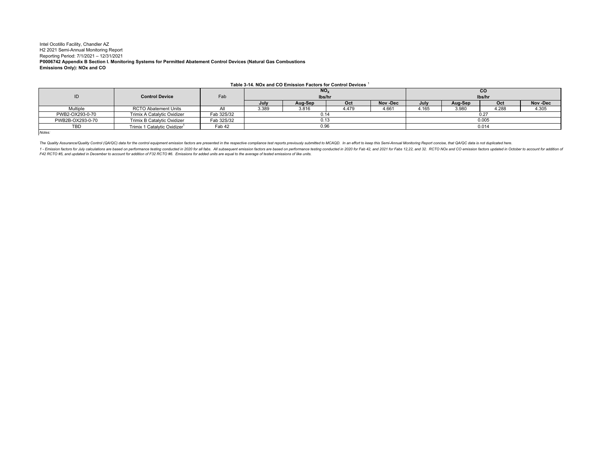#### Intel Ocotillo Facility, Chandler AZ H2 2021 Semi-Annual Monitoring Report Reporting Period: 7/1/2021 – 12/31/2021 **P0006742 Appendix B Section I. Monitoring Systems for Permitted Abatement Control Devices (Natural Gas Combustions Emissions Only): NOx and CO**

|                  | Table 3-14. NOx and CO Emission Factors for Control Devices 1 |            |       |                 |       |         |           |         |       |         |  |
|------------------|---------------------------------------------------------------|------------|-------|-----------------|-------|---------|-----------|---------|-------|---------|--|
|                  |                                                               |            |       | NO <sub>x</sub> |       |         | <b>CO</b> |         |       |         |  |
|                  | <b>Control Device</b>                                         | Fab        |       | lbs/hr          |       |         | lbs/hr    |         |       |         |  |
|                  |                                                               |            | July  | Aug-Sep         | Oct   | Nov Dec | July      | Aug-Sep | Oct   | Nov Dec |  |
| Multiple         | <b>RCTO Abatement Units</b>                                   |            | 3.389 | 3.816           | 4.479 | 4.661   | 4.165     | 3.980   | 4.288 | 4.305   |  |
| PWB2-OX293-0-70  | Trimix A Catalytic Oxidizer                                   | Fab 32S/32 |       | 0.14            |       |         | 0.27      |         |       |         |  |
| PWB2B-OX293-0-70 | Trimix B Catalytic Oxidizer                                   | Fab 32S/32 | 0.13  |                 |       |         | 0.005     |         |       |         |  |
| <b>TBD</b>       | Trimix 1 Catalytic Oxidizer <sup>1</sup>                      | Fab 42     | 0.96  |                 |       |         | 0.014     |         |       |         |  |
| Notes:           |                                                               |            |       |                 |       |         |           |         |       |         |  |

The Quality Assurance/Quality Control (QA/QC) data for the control equipment emission factors are presented in the respective compliance test reports previously submitted to MCAQD. In an effort to keep this Semi-Annual Mon

1 - Emission factors for July calculations are based on performance testing conducted in 2020 for all fabs. All subsequent emission factors are based on performance testing conducted in 2020 for Fab 42, and 2021 for Fabs 1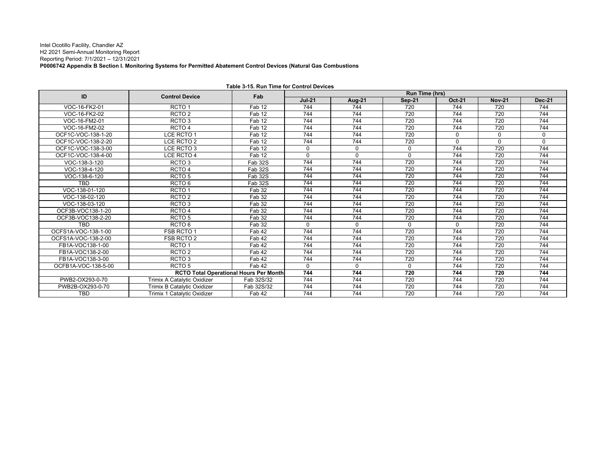#### Intel Ocotillo Facility, Chandler AZ H2 2021 Semi-Annual Monitoring Report Reporting Period: 7/1/2021 – 12/31/2021 **P0006742 Appendix B Section I. Monitoring Systems for Permitted Abatement Control Devices (Natural Gas Combustions**

| ID                  | <b>Control Device</b>                         | Fab        |               |        | <b>Run Time (hrs)</b> |          |               |               |
|---------------------|-----------------------------------------------|------------|---------------|--------|-----------------------|----------|---------------|---------------|
|                     |                                               |            | <b>Jul-21</b> | Aug-21 | <b>Sep-21</b>         | Oct-21   | <b>Nov-21</b> | <b>Dec-21</b> |
| VOC-16-FK2-01       | RCTO <sub>1</sub>                             | Fab 12     | 744           | 744    | 720                   | 744      | 720           | 744           |
| VOC-16-FK2-02       | RCTO <sub>2</sub>                             | Fab 12     | 744           | 744    | 720                   | 744      | 720           | 744           |
| VOC-16-FM2-01       | RCTO <sub>3</sub>                             | Fab 12     | 744           | 744    | 720                   | 744      | 720           | 744           |
| VOC-16-FM2-02       | RCTO <sub>4</sub>                             | Fab 12     | 744           | 744    | 720                   | 744      | 720           | 744           |
| OCF1C-VOC-138-1-20  | LCE RCTO 1                                    | Fab 12     | 744           | 744    | 720                   | $\Omega$ | $\Omega$      | $\Omega$      |
| OCF1C-VOC-138-2-20  | LCE RCTO 2                                    | Fab 12     | 744           | 744    | 720                   | $\Omega$ | $\mathbf{0}$  | $\Omega$      |
| OCF1C-VOC-138-3-00  | LCE RCTO 3                                    | Fab 12     | 0             | 0      | $\Omega$              | 744      | 720           | 744           |
| OCF1C-VOC-138-4-00  | LCE RCTO 4                                    | Fab 12     | 0             | 0      | $\Omega$              | 744      | 720           | 744           |
| VOC-138-3-120       | RCTO <sub>3</sub>                             | Fab 32S    | 744           | 744    | 720                   | 744      | 720           | 744           |
| VOC-138-4-120       | RCTO <sub>4</sub>                             | Fab 32S    | 744           | 744    | 720                   | 744      | 720           | 744           |
| VOC-138-6-120       | RCTO <sub>5</sub>                             | Fab 32S    | 744           | 744    | 720                   | 744      | 720           | 744           |
| <b>TBD</b>          | RCTO <sub>6</sub>                             | Fab 32S    | 744           | 744    | 720                   | 744      | 720           | 744           |
| VOC-138-01-120      | RCTO <sub>1</sub>                             | Fab 32     | 744           | 744    | 720                   | 744      | 720           | 744           |
| VOC-138-02-120      | RCTO <sub>2</sub>                             | Fab 32     | 744           | 744    | 720                   | 744      | 720           | 744           |
| VOC-138-03-120      | RCTO <sub>3</sub>                             | Fab 32     | 744           | 744    | 720                   | 744      | 720           | 744           |
| OCF3B-VOC138-1-20   | RCTO <sub>4</sub>                             | Fab 32     | 744           | 744    | 720                   | 744      | 720           | 744           |
| OCF3B-VOC138-2-20   | RCTO <sub>5</sub>                             | Fab 32     | 744           | 744    | 720                   | 744      | 720           | 744           |
| <b>TRD</b>          | RCTO <sub>6</sub>                             | Fab 32     | U             | 0      | $\Omega$              | $\Omega$ | 720           | 744           |
| OCFS1A-VOC-138-1-00 | FSB RCTO 1                                    | Fab 42     | 744           | 744    | 720                   | 744      | 720           | 744           |
| OCFS1A-VOC-138-2-00 | FSB RCTO 2                                    | Fab 42     | 744           | 744    | 720                   | 744      | 720           | 744           |
| FB1A-VOC138-1-00    | RCTO <sub>1</sub>                             | Fab 42     | 744           | 744    | 720                   | 744      | 720           | 744           |
| FB1A-VOC138-2-00    | RCTO <sub>2</sub>                             | Fab 42     | 744           | 744    | 720                   | 744      | 720           | 744           |
| FB1A-VOC138-3-00    | RCTO <sub>3</sub>                             | Fab 42     | 744           | 744    | 720                   | 744      | 720           | 744           |
| OCFB1A-VOC-138-5-00 | RCTO <sub>5</sub>                             | Fab 42     | $\Omega$      | 0      | $\Omega$              | 744      | 720           | 744           |
|                     | <b>RCTO Total Operational Hours Per Month</b> |            | 744           | 744    | 720                   | 744      | 720           | 744           |
| PWB2-OX293-0-70     | Trimix A Catalytic Oxidizer                   | Fab 32S/32 | 744           | 744    | 720                   | 744      | 720           | 744           |
| PWB2B-OX293-0-70    | Trimix B Catalytic Oxidizer                   | Fab 32S/32 | 744           | 744    | 720                   | 744      | 720           | 744           |
| TBD                 | Trimix 1 Catalytic Oxidizer                   | Fab 42     | 744           | 744    | 720                   | 744      | 720           | 744           |

**Table 3-15. Run Time for Control Devices**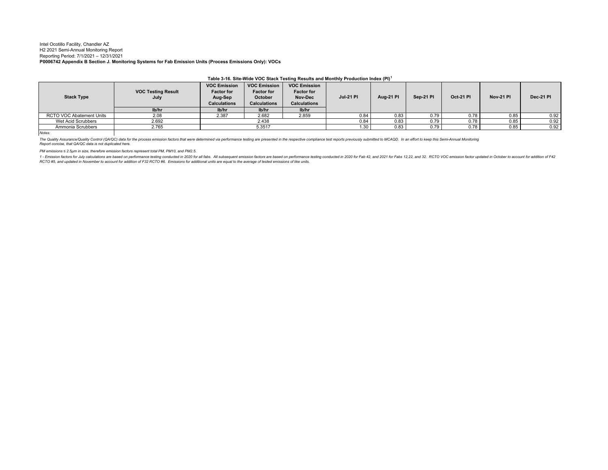#### Intel Ocotillo Facility, Chandler AZ H2 2021 Semi-Annual Monitoring Report Reporting Period: 7/1/2021 – 12/31/2021 **P0006742 Appendix B Section J. Monitoring Systems for Fab Emission Units (Process Emissions Only): VOCs**

|                          |                                   |                                                                            |                                                                            |                                                                            | Table 3-16. Site Wide VOC Stack Testing Results and Monthly Production muex (PT) |                  |           |           |                  |           |
|--------------------------|-----------------------------------|----------------------------------------------------------------------------|----------------------------------------------------------------------------|----------------------------------------------------------------------------|----------------------------------------------------------------------------------|------------------|-----------|-----------|------------------|-----------|
| <b>Stack Type</b>        | <b>VOC Testing Result</b><br>July | <b>VOC Emission</b><br><b>Factor for</b><br>Aug-Sep<br><b>Calculations</b> | <b>VOC Emission</b><br><b>Factor for</b><br>October<br><b>Calculations</b> | <b>VOC Emission</b><br><b>Factor for</b><br>Nov-Dec<br><b>Calculations</b> | <b>Jul-21 PI</b>                                                                 | <b>Aug-21 PI</b> | Sep-21 PI | Oct-21 PI | <b>Nov-21 PI</b> | Dec-21 PI |
|                          | lb/hr                             | lb/hr                                                                      | Ib/hr                                                                      | Ib/hr                                                                      |                                                                                  |                  |           |           |                  |           |
| RCTO VOC Abatement Units | 2.08                              | 2.387                                                                      | 2.682                                                                      | 2.859                                                                      | 0.84                                                                             | 0.83             | 0.79      | 0.78      | 0.85             | 0.92      |
| Wet Acid Scrubbers       | 2.692                             |                                                                            | 2.438                                                                      |                                                                            | 0.84                                                                             | 0.83             | 0.79      | 0.78      | 0.85             | 0.92      |
| Ammonia Scrubbers        | 2.765                             |                                                                            | 5.3517                                                                     |                                                                            | 1.30                                                                             | 0.83             | 0.79      | 0.78      | 0.85             | 0.92      |

#### **Table 3-16. Site-Wide VOC Stack Testing Results and Monthly Production Index (PI)<sup>1</sup>**

*Notes:*

The Quality AssuranceQuality Control (QAQC) data for the process emission factors that were determined via performance testing are presented in the respective compliance test reports previously submitted to MCAQD. In an ef

*PM emissions ≤ 2.5µm in size, therefore emission factors represent total PM, PM10, and PM2.5.*

1 - Emission factors for July calculations are based on performance testing conducted in 2020 for all fabs. All subsequent emission factors are based on performance testing conducted in 2020 for Fab 42, and 2021 for Fab 12 *RCTO #5, and updated in November to account for addition of F32 RCTO #6. Emissions for additional units are equal to the average of tested emissions of like units.*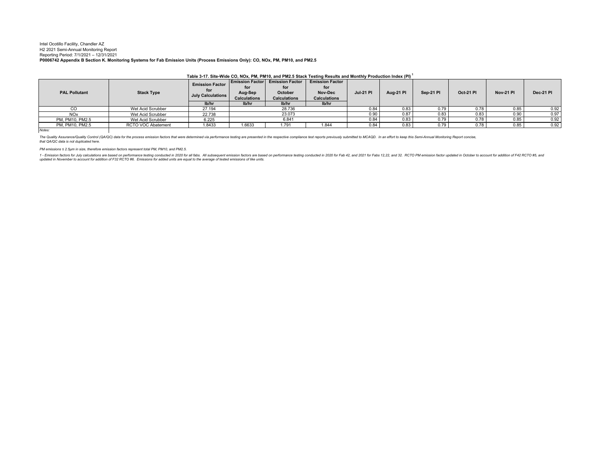#### Intel Ocotillo Facility, Chandler AZ H2 2021 Semi-Annual Monitoring Report Reporting Period: 7/1/2021 – 12/31/2021 **P0006742 Appendix B Section K. Monitoring Systems for Fab Emission Units (Process Emissions Only): CO, NOx, PM, PM10, and PM2.5**

| Table 3-17. Site-Wide CO, NOX, PM, PMT0, and PMZ.5 Stack Testing Results and Monthly Production muex (PI) |                    |                                                    |                     |                                        |                        |                  |                               |                  |                  |           |      |
|-----------------------------------------------------------------------------------------------------------|--------------------|----------------------------------------------------|---------------------|----------------------------------------|------------------------|------------------|-------------------------------|------------------|------------------|-----------|------|
| <b>PAL Pollutant</b>                                                                                      | <b>Stack Type</b>  | <b>Emission Factor</b><br><b>July Calculations</b> |                     | <b>Emission Factor Emission Factor</b> | <b>Emission Factor</b> |                  |                               |                  |                  |           |      |
|                                                                                                           |                    |                                                    |                     |                                        | for                    |                  |                               |                  |                  |           |      |
|                                                                                                           |                    |                                                    | Aug-Sep             | October                                | Nov-Dec                | <b>Jul-21 PI</b> | Sep-21 PI<br><b>Aug-21 PI</b> | <b>Oct-21 PI</b> | <b>Nov-21 PI</b> | Dec-21 PI |      |
|                                                                                                           |                    |                                                    | <b>Calculations</b> | <b>Calculations</b>                    | <b>Calculations</b>    |                  |                               |                  |                  |           |      |
|                                                                                                           |                    | lb/hr                                              | lb/hr               | lb/hr                                  | lb/hr                  |                  |                               |                  |                  |           |      |
| CO                                                                                                        | Wet Acid Scrubber  | 27.194                                             | 28.736              |                                        |                        | 0.84             | 0.83                          | 0.79             | 0.78             | 0.85      | 0.92 |
| <b>NO<sub>x</sub></b>                                                                                     | Wet Acid Scrubber  | 22.738                                             | 23.073              |                                        |                        | 0.90             | 0.87                          | 0.83             | 0.83             | 0.90      | 0.97 |
| PM. PM10, PM2.5                                                                                           | Wet Acid Scrubber  | 6.225                                              | 6.841               |                                        |                        | 0.84             | 0.83                          | 0.79             | 0.78             | 0.85      | 0.92 |
| PM. PM10, PM2.5                                                                                           | RCTO VOC Abatement | 1.8433                                             | 1.6633              | 1.791                                  | 1.844                  | 0.84             | 0.83                          | 0.79             | 0.78             | 0.85      | 0.92 |
| Votes:                                                                                                    |                    |                                                    |                     |                                        |                        |                  |                               |                  |                  |           |      |

**Table 3-17. Site-Wide CO, NOx, PM, PM10, and PM2.5 Stack Testing Results and Monthly Production Index (PI) <sup>1</sup>**

*Notes:*

The Quality Assurance/Quality Control (QA/QC) data for the process emission factors that were determined via performance testing are presented in the respective compliance test reports previously submitted to MCAQD. In an *that QA/QC data is not duplicated here.*

*PM emissions ≤ 2.5µm in size, therefore emission factors represent total PM, PM10, and PM2.5.*

1 - Emission factors for universal compart and poperformance resting conducted in 2020 for all fabs. All subsequent emission factors are based on performance testing conducted in 2020 for Fab 42, and 2021 for Fabs 12,22, a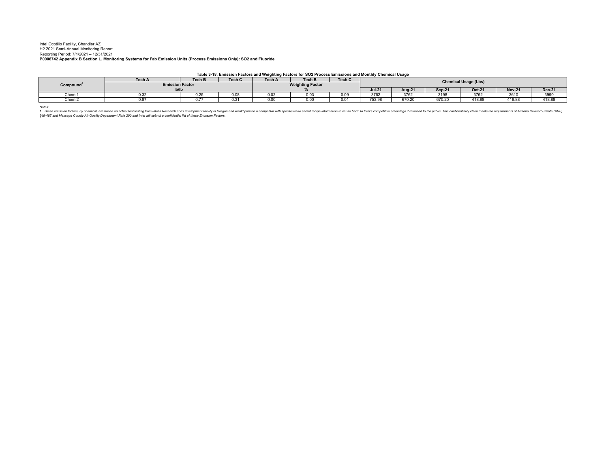#### Intel Ocotillo Facility, Chandler AZ H2 2021 Semi-Annual Monitoring Report Reporting Period: 7/1/2021 – 12/31/2021 **P0006742 Appendix B Section L. Monitoring Systems for Fab Emission Units (Process Emissions Only): SO2 and Fluoride**

**Table 3-18. Emission Factors and Weighting Factors for SO2 Process Emissions and Monthly Chemical Usage**

|          | Tech A                 | Tech B                       | Tech C | <b>Tech A</b>                | <b>Tech B</b> | Tech C | <b>Chemical Usage (Lbs)</b> |        |                                |        |               |               |
|----------|------------------------|------------------------------|--------|------------------------------|---------------|--------|-----------------------------|--------|--------------------------------|--------|---------------|---------------|
| Compound | <b>Emission Factor</b> |                              |        | <b>Weighting Factor</b>      |               |        |                             |        |                                |        |               |               |
|          | Ib/Ib                  |                              |        |                              |               |        | <b>Jul-21</b>               | Aug-21 | $Sen-21$                       | Oct-21 | <b>Nov-21</b> | <b>Dec-21</b> |
| Chem     | - - -<br><b>U.34</b>   | $\sim$ $\sim$ $\sim$<br>∪.∠≎ | 0.08   | $\sim$ $\sim$<br><b>U.U.</b> | 0.03          | 0.09   | 3762                        | 3762   | 3198                           | 3762   | 3610          | 3990          |
| Chem 2   | 0.87                   | .                            | ບ.ບ່   | 0.00                         | 0.00          | 0.0    | 753.98                      | 670.20 | $\sim$ $\sim$ $\sim$<br>370.ZU | 418.88 | 418.88        | 418.88        |

*Notes:* 

1. These emission factors, by chemical, are based on actual tool testing from Intel's Research and Development facility in Oregon and would provide a competitor with specific trade secret recipe information to cause harm t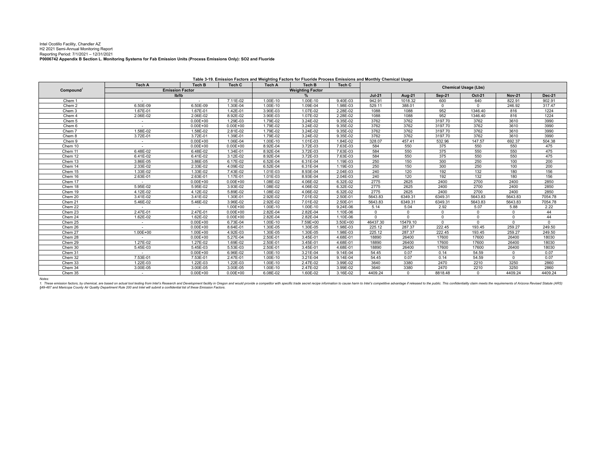#### Intel Ocotillo Facility, Chandler AZ H2 2021 Semi-Annual Monitoring Report Reporting Period: 7/1/2021 – 12/31/2021 **P0006742 Appendix B Section L. Monitoring Systems for Fab Emission Units (Process Emissions Only): SO2 and Fluoride**

**Tech A Tech B Tech C Tech A Tech B Tech CJul-21 Aug-21 Sep-21 Oct-21 Nov-21 Dec-21** Chem 1 - - 7.11E-02 1.00E-10 1.00E-10 9.40E-03 942.91 1018.32 600 640 822.91 902.9131747 Chem 2 6.50E-09 1.30E-04 1.00E-10 1.09E-04 1.98E-03 529.11 388.01 0 246.92 317.47 1224 Chem 3 1.67E-01 1.67E-01 l 1.42E-01 l 3.90E-03 l 1.07E-02 l 2.28E-02 l 1088 l 952 l 1346.40 l 816 l 1224 1224 Chem 4 | 2.06E-02 | 2.06E-02 | 8.92E-02 | 3.90E-03 | 1.07E-02 | 2.28E-02 | 1088 | 1088 | 952 | 1346.40 | 816 | 1224 3990 Chem 5 - 1 - 1 - 1 0.00E+00 1 1.29E-03 1 1.79E-02 1 3.24E-02 1 9.35E-02 1 3762 1 3762 1 3197.70 1 3762 1 3610 1 3990 Chem 6 - 0.00E+00 0.00E+00 1.79E-02 3.24E-02 9.35E-02 3762 3762 3197.70 3762 3610 3990 $3000$ Chem 7 1.58E-02 1.58E-02 2.81E-02 1.79E-02 3.24E-02 9.35E-02 3762 3762 3197.70 3762 3610 39903990 Chem 8 3.72E-01 3.72E-01 1.39E-01 1.79E-02 3.24E-02 9.35E-02 3762 3197.70 3762 3610 3990 504.38 Chem 9 - 1 - 1 0.00E+00 1 1.06E-04 1 1.00E-10 1 1.01E-03 1 1.84E-02 1 328.07 1 457.41 1 532.96 1 147.57 1 692.37 1 504.38 Chem 10 - 0.00E+00 0.00E+00 8.92E-04 3.72E-03 7.63E-03 584 550 375 550 550 475475 Chem 11 6.48E-02 6.48E-02 1.34E-01 8.92E-04 3.72E-03 7.63E-03 584 550 375 550 550 475475 Chem 12 6.41E-02 6.41E-02 3.12E-02 8.92E-04 3.72E-03 7.63E-03 584 550 375 550 550 475200 Chem 13 3.86E-05 3.86E-05 6.17E-02 6.52E-04 6.31E-04 1.19E-03 250 150 300 250 100 200 $200$ Chem 14 | 2.33E-02 | 2.33E-02 | 4.09E-02 | 6.52E-04 | 6.31E-04 | 1.19E-03 | 250 | 150 | 300 | 250 | 100 | 200 Chem 15 1.33E-02 1.33E-02 I 7.43E-02 I 1.01E-03 I 8.93E-04 I 2.04E-03 I 240 I 192 I 132 I 180 I 156 156 Chem 16 2.63E-01 1.2.63E-01 I 1.17E-01 I 1.01E-03 I 8.93E-04 I 2.04E-03 I 240 I 120 I 192 I 132 I 180 I 156 2850 Chem 17 - I - - I 0.00E+00 I 0.00E+00 I 1.08E-02 I 4.06E-02 I 6.32E-02 I 2775 I 2625 I 2400 I 2700 I 2850 2850 Chem 18 5.95E-02 5.95E-02 3.93E-02 1.08E-02 4.06E-02 6.32E-02 2775 2625 2400 2700 2400 28502850 Chem 19 4.12E-02 4.12E-02 5.89E-02 4.06E-02 6.32E-02 2775 2625 2400 22700 2400 2850 7054.78 Chem 20 3.41E-02 1.30E-01 2.92E-02 7.01E-02 2.50E-01 5643.83 5643.83 7054.78 7054.78 Chem 21 5.46E-02 5.46E-02 3.96E-02 2.92E-02 7.01E-02 2.50E-01 5643.83 6349.31 6349.31 5643.83 5643.83 7054.78Chem 22 - I - I - I 1.00E+00 I 1.00E-10 I 1.00E-10 I 9.24E-06 I 5.14 I 5.04 I 2.92 I 5.07 I 5.88 I 2.22  $44$ Chem 23 2.47E-01 2.47E-01 0.00E+00 2.82E-04 1.2.82E-04 1.10E-06 0 0 0 0 44 44 Chem 24 1.62E-02 1.62E-02 0.00E+00 2.82E-04 2.82E-04 1.10E-06 0 0 0 0 0 44 $\overline{0}$ Chem 25 - 0.00E+00 6.73E-04 1.00E-10 7.59E+00 3.50E+00 46437.30 15479.10 0 0 0 0249.50 Chem 26 - 1 - 1.0.00E+00 8.64E-01 1.30E-05 1.30E-05 1.30E-03 1.225.12 1.287.37 1 222.45 1 193.45 1 259.27 1 249.50 Chem 27 1.00E+00 1.00E+00 4.92E-03 1.30E-05 1.98E-03 225.12 287.37 219.45 18030 Chem 28 - - I 0.00E+00 I 5.27E-04 I 2.50E-01 I 3.45E-01 I 4.68E-01 I 18890 I 26400 I 17600 I 17600 I 26400 I 18030 18030 Chem 29 1.27E-02 1.27E-02 1.69E-02 2.50E-01 3.45E-01 4.68E-01 18890 26400 17600 17600 26400 1803018030 Chem 30 5.45E-03 5.45E-03 5.53E-03 2.50E-01 3.45E-01 4.68E-01 18890 26400 17600 17600 26400 18030Chem 31 - Chem 31 - 10.00E+00 6.96E-02 1 1.00E-10 1 3.21E-04 1 9.14E-04 1 54.45 1 0.07 1 0.14 1 54.59 1 0 1 0.07  $0.07$ Chem 32 7.53E-01 7.53E-01 2.47E-01 1.00E-10 3.21E-04 54.45 0.07 0.14 54.59 2860 Chem 33 1.22E-03 1.22E-03 1.22E-03 1.00E-10 2.47E-02 3.99E-02 3640 3380 2470 2210 3250 2860 $2860$ Chem 34 3.00E-05 3.00E-05 3.00E-05 1.00E-10 2.47E-02 3.99E-02 3640 3380 2470 2210 3250 28604409.24 Chem 35 - 0.00E+00 0.00E+00 6.08E-02 1.60E-02 3.16E-02 4409.24 0 8818.48 0 4409.24 4409.24**Emission Factor lb/lbWeighting Factor %Compound**<sup>1</sup> **Compound**<br> **Compound**<br> **Compound**<br> **Compound**<br> **Compound**<br> **Compound**<br> **Compound**<br> **Compound**<br> **Compound**<br> **Compound**<br> **Compound**<br> **Compound Table 3-19. Emission Factors and Weighting Factors for Fluoride Process Emissions and Monthly Chemical Usage**

*Notes:* 

1. These emission factors, by chemical, are based on actual tool testing from Intel's Research and Development facility in Oregon and Would provide a competitor with specific trade secret recipe information to cause harm t *§49-487 and Maricopa County Air Quality Department Rule 200 and Intel will submit a confidential list of these Emission Factors.*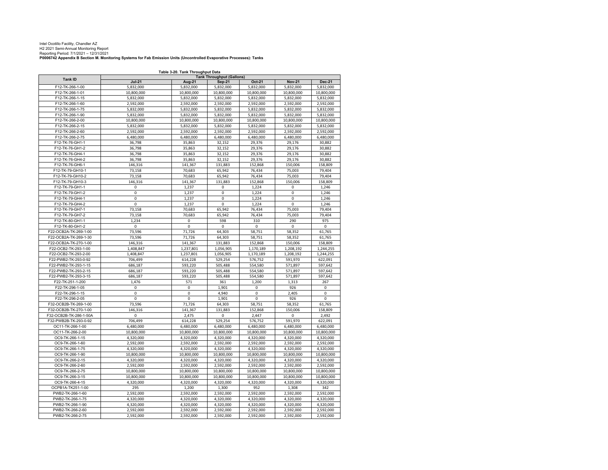Intel Ocotillo Facility, Chandler AZ H2 2021 Semi-Annual Monitoring Report Reporting Period: 7/1/2021 – 12/31/2021

#### **P0006742 Appendix B Section M. Monitoring Systems for Fab Emission Units (Uncontrolled Evaporative Processes): Tanks**

**Jul-21 Aug-21 Sep-21 Oct-21 Nov-21 Dec-21** F12-TK-266-1-00 5,832,000 5,832,000 5,832,000 5,832,000 5,832,000 5,832,000 F12-TK-266-1-0110,800,000 10,800,000 10,800,000 10,800,000 10,800,000 10,800,000 10,800,000 10,800,000 F12-TK-266-1-15 5,832,000 5,832,000 5,832,000 5,832,000 5,832,000 5,832,000 F12-TK-266-1-600 2,592,000 | 2,592,000 | 2,592,000 | 2,592,000 | 2,592,000 F12-TK-266-1-75 5,832,000 5,832,000 5,832,000 5,832,000 5,832,000 5,832,000 F12-TK-266-1-90 5,832,000 5,832,000 5,832,000 5,832,000 5,832,000 5,832,000 F12-TK-266-2-000 10,800,000 10,800,000 10,800,000 10,800,000 10,800,000 10,800,000 10,800,000 F12-TK-266-2-15 5,832,000 5,832,000 5,832,000 5,832,000 5,832,000 5,832,000 F12-TK-266-2-600 2,592,000 2,592,000 2,592,000 2,592,000 2,592,000 2,592,000 F12-TK-266-2-75 6,480,000 6,480,000 6,480,000 6,480,000 6,480,000 6,480,000 F12-TK-76-GH1-1 36,798 35,863 32,152 29,376 29,176 30,882 F12-TK-76-GH1-2 36,798 35,863 32,152 29,376 29,176 30,882 F12-TK-76-GH4-1 36,798 35,863 32,152 29,376 29,176 30,882 F12-TK-76-GH4-2 36,798 35,863 32,152 29,376 29,176 30,882 F12-TK-76-GH6-1 146,316 141,367 131,883 152,868 150,006 158,809 F12-TK-79-GH10-1 73,158 70,683 65,942 76,434 75,003 79,404 F12-TK-79-GH10-2 73,158 70,683 65,942 76,434 75,003 79,404 F12-TK-79-GH10-3131,883 | 150,006 | 146,316 | 141,367 | 131,883 | 152,868 | 150,006 | 158,809 F12-TK-79-GH1-11 | 0 | 1,237 | 0 | 1,224 | 0 | 1,246 F12-TK-79-GH1-22 | 0 | 1,237 | 0 | 1,224 | 0 | 1,246 F12-TK-79-GH4-11 | 0 1,237 | 0 1,224 | 0 1,246 F12-TK-79-GH4-22 | 0 | 1,237 | 0 | 1,224 | 0 | 1,246 F12-TK-79-GH7-1 73,158 70,683 65,942 76,434 75,003 79,404 F12-TK-79-GH7-2 73,158 70,683 65,942 76,434 75,003 79,404 F12-TK-80-GH1-11 | 1,234 | 0 | 598 | 310 | 290 | 975 F12-TK-80-GH1-22 0 0 0 0 0 0 0 0 0 0 F22-OCB2A-TK-269-1-00 73,596 71,726 64,303 58,751 58,352 61,765 F22-OCB2A-TK-269-1-300 | 73,596 | 71,726 | 64,303 | 58,751 | 58,352 | 61,765 F22-OCB2A-TK-270-1-000 | 146,316 | 141,367 | 131,883 | 152,868 | 150,006 | 158,809 F22-OCB2-TK-293-1-00 1,408,847 1,237,801 1,056,905 1,170,189 1,208,192 1,244,255 F22-OCB2-TK-293-2-00 1,408,847 1,237,801 1,056,905 1,170,189 1,208,192 1,244,255 F22-PWB2-TK-293-0-92 706,499 614,228 529,254 576,752 591,970 622,091 F22-PWB2-TK-293-1-15 686,187 593,220 505,488 554,580 571,897 597,642 F22-PWB2-TK-293-2-15 686,187 593,220 505,488 554,580 571,897 597,642 F22-PWB2-TK-293-3-15 686,187 593,220 505,488 554,580 571,897 597,642 F22-TK-251-1-2000 | 1,476 | 571 | 361 | 1,200 | 1,313 | 267 F22-TK-296-1-055 0 1 0 1,901 1 0 1 926 1 0 F22-TK-296-1-15 0 0 4,940 0 2,405 0 F22-TK-296-2-055 | 0 | 0 | 1,901 | 0 | 926 | 0 F32-OCB2B-TK-269-1-00 73,596 71,726 64,303 58,751 58,352 61,765 F32-OCB2B-TK-270-1-000 | 146,316 | 141,367 | 131,883 | 152,868 | 150,006 | 158,809 F32-OCB2B-TK-286-1-50A 0 2,475 0 2,447 0 2,492 F32-PWB2B-TK-293-0-92 706,499 614,228 529,254 576,752 591,970 622,091 OC11-TK-266-1-00 6,480,000 6,480,000 6,480,000 6,480,000 6,480,000 6,480,000 OC11-TK-266-2-000 10,800,000 10,800,000 10,800,000 10,800,000 10,800,000 10,800,000 10,800,000 OC9-TK-266-1-15 4,320,000 4,320,000 4,320,000 4,320,000 4,320,000 4,320,000 OC9-TK-266-1-600 2,592,000 2,592,000 2,592,000 2,592,000 2,592,000 2,592,000 OC9-TK-266-1-75 4,320,000 4,320,000 4,320,000 4,320,000 4,320,000 4,320,000 OC9-TK-266-1-900 10,800,000 10,800,000 10,800,000 10,800,000 10,800,000 10,800,000 10,800,000 OC9-TK-266-2-15 4,320,000 4,320,000 4,320,000 4,320,000 4,320,000 4,320,000 OC9-TK-266-2-600 2,592,000 2,592,000 2,592,000 2,592,000 2,592,000 2,592,000 OC9-TK-266-2-755 10,800,000 10,800,000 10,800,000 10,800,000 10,800,000 OC9-TK-266-3-1510,800,000 10,800,000 10,800,000 10,800,000 10,800,000 10,800,000 10,800,000 10,800,000 OC9-TK-266-4-15 4,320,000 4,320,000 4,320,000 4,320,000 4,320,000 4,320,000 OCPB1A-TK251-1-000 | 295 | 1,200 | 1,300 | 952 | 1,308 | 342 PWB2-TK-266-1-600 | 2,592,000 | 2,592,000 | 2,592,000 | 2,592,000 | 2,592,000 | 2,592,000 PWB2-TK-266-1-75 4,320,000 4,320,000 4,320,000 4,320,000 4,320,000 4,320,000 PWB2-TK-266-1-900 | 4,320,000 | 4,320,000 | 4,320,000 | 4,320,000 | 4,320,000 | 4,320,000 PWB2-TK-266-2-600 | 2,592,000 | 2,592,000 | 2,592,000 | 2,592,000 | 2,592,000 | 2,592,000 PWB2-TK-266-2-75 2,592,000 2,592,000 2,592,000 2,592,000 2,592,000 2,592,000 **Tank ID**<br> **Tank ID**<br> **Tank ID**<br> **EALLONGERY COMPUTE ALLONGERY AND Sen-21 Table 3-20. Tank Throughput Data**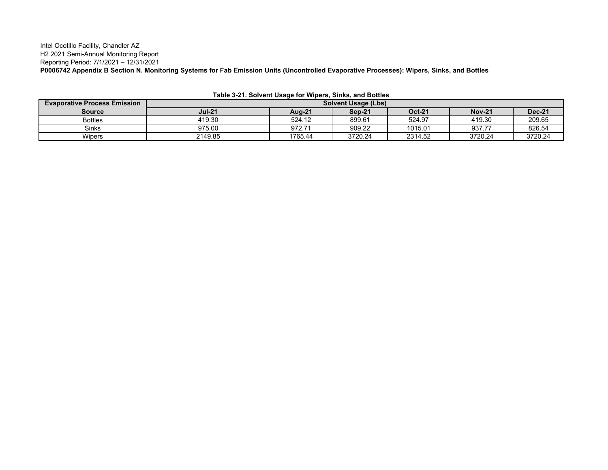Intel Ocotillo Facility, Chandler AZ H2 2021 Semi-Annual Monitoring Report Reporting Period: 7/1/2021 – 12/31/2021 **P0006742 Appendix B Section N. Monitoring Systems for Fab Emission Units (Uncontrolled Evaporative Processes): Wipers, Sinks, and Bottles**

| <b>Evaporative Process Emission</b> | <b>Solvent Usage (Lbs)</b> |               |         |               |               |               |  |  |  |
|-------------------------------------|----------------------------|---------------|---------|---------------|---------------|---------------|--|--|--|
| Source                              | <b>Jul-21</b>              | <b>Aug-21</b> | Sep-21  | <b>Oct-21</b> | <b>Nov-21</b> | <b>Dec-21</b> |  |  |  |
| <b>Bottles</b>                      | 419.30                     | 524.12        | 899.61  | 524.97        | 419.30        | 209.65        |  |  |  |
| Sinks                               | 975.00                     | 972.71        | 909.22  | 1015.01       | 937.77        | 826.54        |  |  |  |
| Wipers                              | 2149.85                    | 1765.44       | 3720.24 | 2314.52       | 3720.24       | 3720.24       |  |  |  |

**Table 3-21. Solvent Usage for Wipers, Sinks, and Bottles**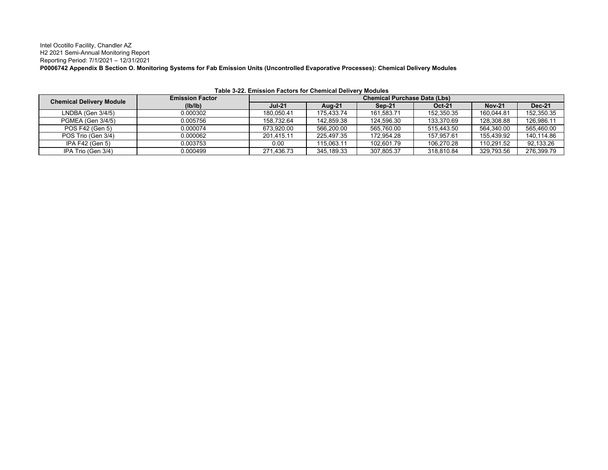Intel Ocotillo Facility, Chandler AZ H2 2021 Semi-Annual Monitoring Report Reporting Period: 7/1/2021 – 12/31/2021 **P0006742 Appendix B Section O. Monitoring Systems for Fab Emission Units (Uncontrolled Evaporative Processes): Chemical Delivery Modules**

| <b>Chemical Delivery Module</b> | <b>Emission Factor</b> | <b>Chemical Purchase Data (Lbs)</b> |            |            |               |               |               |  |  |  |
|---------------------------------|------------------------|-------------------------------------|------------|------------|---------------|---------------|---------------|--|--|--|
|                                 | (Ib/Ib)                | <b>Jul-21</b>                       | Aug-21     | Sep-21     | <b>Oct-21</b> | <b>Nov-21</b> | <b>Dec-21</b> |  |  |  |
| $LNDBA (Gen 3/4/5)$             | 0.000302               | 180.050.41                          | 175.433.74 | 161.583.71 | 152,350.35    | 160.044.81    | 152,350.35    |  |  |  |
| PGMEA (Gen 3/4/5)               | 0.005756               | 158.732.64                          | 142,859.38 | 124,596.30 | 133,370.69    | 128,308.88    | 126,986.11    |  |  |  |
| POS F42 (Gen 5)                 | 0.000074               | 673.920.00                          | 566.200.00 | 565,760.00 | 515,443.50    | 564.340.00    | 565.460.00    |  |  |  |
| POS Trio (Gen 3/4)              | 0.000062               | 201.415.11                          | 225.497.35 | 172.954.28 | 157.957.61    | 155.439.92    | 140,114.86    |  |  |  |
| IPA F42 (Gen 5)                 | 0.003753               | 0.00                                | 115.063.11 | 102.601.79 | 106.270.28    | 110.291.52    | 92,133.26     |  |  |  |
| IPA Trio (Gen 3/4)              | 0.000499               | 271,436.73                          | 345,189.33 | 307.805.37 | 318,810.84    | 329,793.56    | 276,399.79    |  |  |  |

**Table 3-22. Emission Factors for Chemical Delivery Modules**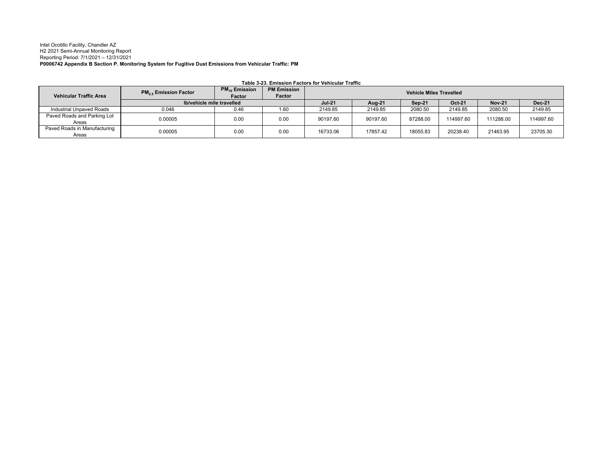#### Intel Ocotillo Facility, Chandler AZ H2 2021 Semi-Annual Monitoring Report Reporting Period: 7/1/2021 – 12/31/2021 **P0006742 Appendix B Section P. Monitoring System for Fugitive Dust Emissions from Vehicular Traffic: PM**

| <b>Vehicular Traffic Area</b>         | <b>PM<sub>25</sub></b> Emission Factor | $PM_{10}$ Emission<br>Factor | <b>PM Emission</b><br><b>Factor</b> | <b>Vehicle Miles Travelled</b> |          |          |           |               |               |  |
|---------------------------------------|----------------------------------------|------------------------------|-------------------------------------|--------------------------------|----------|----------|-----------|---------------|---------------|--|
|                                       | Ib/vehicle mile travelled              |                              |                                     | <b>Jul-21</b>                  | Aug-21   | Sep-21   | Oct-21    | <b>Nov-21</b> | <b>Dec-21</b> |  |
| Industrial Unpaved Roads              | 0.046                                  | 0.46                         | 1.60                                | 2149.85                        | 2149.85  | 2080.50  | 2149.85   | 2080.50       | 2149.85       |  |
| Paved Roads and Parking Lot<br>Areas  | 0.00005                                | 0.00                         | 0.00                                | 90197.60                       | 90197.60 | 87288.00 | 114997.60 | 111288.00     | 114997.60     |  |
| Paved Roads in Manufacturing<br>Areas | 0.00005                                | 0.00                         | 0.00                                | 16733.06                       | 17857.42 | 18055.83 | 20238.40  | 21463.95      | 23705.30      |  |

**Table 3-23. Emission Factors for Vehicular Traffic**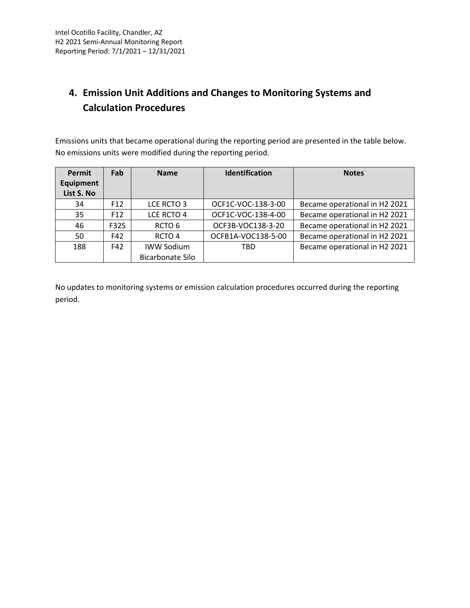## **4. Emission Unit Additions and Changes to Monitoring Systems and Calculation Procedures**

Emissions units that became operational during the reporting period are presented in the table below. No emissions units were modified during the reporting period.

| <b>Permit</b><br>Equipment<br>List S. No | Fab             | <b>Name</b>       | Identification     | <b>Notes</b>                  |
|------------------------------------------|-----------------|-------------------|--------------------|-------------------------------|
| 34                                       | F <sub>12</sub> | LCE RCTO 3        | OCF1C-VOC-138-3-00 | Became operational in H2 2021 |
| 35                                       | F <sub>12</sub> | LCE RCTO 4        | OCF1C-VOC-138-4-00 | Became operational in H2 2021 |
| 46                                       | <b>F32S</b>     | RCTO <sub>6</sub> | OCF3B-VOC138-3-20  | Became operational in H2 2021 |
| 50                                       | F42             | RCTO <sub>4</sub> | OCFB1A-VOC138-5-00 | Became operational in H2 2021 |
| 188                                      | F42             | <b>IWW Sodium</b> | <b>TBD</b>         | Became operational in H2 2021 |
|                                          |                 | Bicarbonate Silo  |                    |                               |

No updates to monitoring systems or emission calculation procedures occurred during the reporting period.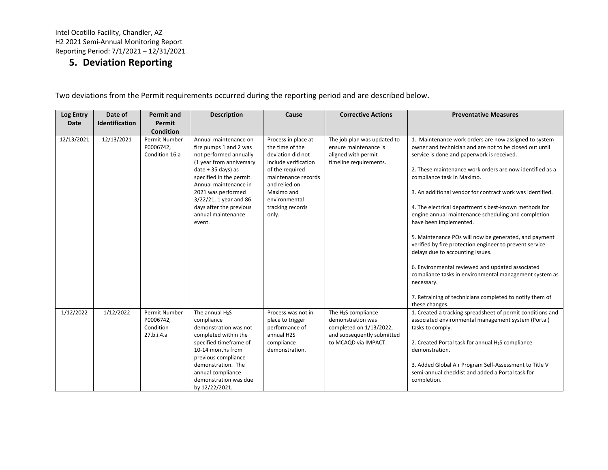### **5. Deviation Reporting**

| Log Entry  | Date of               | <b>Permit and</b>                                     | <b>Description</b>                                                                                                                                                                                                                                                                            | Cause                                                                                                                                                                                                      | <b>Corrective Actions</b>                                                                                                             | <b>Preventative Measures</b>                                                                                                                                                                                                                                                                                                                                                                                                                                                                                                                                                                                                                                                                                                                                                                                                      |
|------------|-----------------------|-------------------------------------------------------|-----------------------------------------------------------------------------------------------------------------------------------------------------------------------------------------------------------------------------------------------------------------------------------------------|------------------------------------------------------------------------------------------------------------------------------------------------------------------------------------------------------------|---------------------------------------------------------------------------------------------------------------------------------------|-----------------------------------------------------------------------------------------------------------------------------------------------------------------------------------------------------------------------------------------------------------------------------------------------------------------------------------------------------------------------------------------------------------------------------------------------------------------------------------------------------------------------------------------------------------------------------------------------------------------------------------------------------------------------------------------------------------------------------------------------------------------------------------------------------------------------------------|
| Date       | <b>Identification</b> | Permit<br><b>Condition</b>                            |                                                                                                                                                                                                                                                                                               |                                                                                                                                                                                                            |                                                                                                                                       |                                                                                                                                                                                                                                                                                                                                                                                                                                                                                                                                                                                                                                                                                                                                                                                                                                   |
| 12/13/2021 | 12/13/2021            | <b>Permit Number</b><br>P0006742,<br>Condition 16.a   | Annual maintenance on<br>fire pumps 1 and 2 was<br>not performed annually<br>(1 year from anniversary<br>$date + 35 days)$ as<br>specified in the permit.<br>Annual maintenance in<br>2021 was performed<br>3/22/21, 1 year and 86<br>days after the previous<br>annual maintenance<br>event. | Process in place at<br>the time of the<br>deviation did not<br>include verification<br>of the required<br>maintenance records<br>and relied on<br>Maximo and<br>environmental<br>tracking records<br>only. | The job plan was updated to<br>ensure maintenance is<br>aligned with permit<br>timeline requirements.                                 | 1. Maintenance work orders are now assigned to system<br>owner and technician and are not to be closed out until<br>service is done and paperwork is received.<br>2. These maintenance work orders are now identified as a<br>compliance task in Maximo.<br>3. An additional vendor for contract work was identified.<br>4. The electrical department's best-known methods for<br>engine annual maintenance scheduling and completion<br>have been implemented.<br>5. Maintenance POs will now be generated, and payment<br>verified by fire protection engineer to prevent service<br>delays due to accounting issues.<br>6. Environmental reviewed and updated associated<br>compliance tasks in environmental management system as<br>necessary.<br>7. Retraining of technicians completed to notify them of<br>these changes. |
| 1/12/2022  | 1/12/2022             | Permit Number<br>P0006742,<br>Condition<br>27.b.i.4.a | The annual H <sub>2</sub> S<br>compliance<br>demonstration was not<br>completed within the<br>specified timeframe of<br>10-14 months from<br>previous compliance<br>demonstration. The<br>annual compliance<br>demonstration was due<br>by 12/22/2021.                                        | Process was not in<br>place to trigger<br>performance of<br>annual H2S<br>compliance<br>demonstration.                                                                                                     | The H <sub>2</sub> S compliance<br>demonstration was<br>completed on 1/13/2022,<br>and subsequently submitted<br>to MCAQD via IMPACT. | 1. Created a tracking spreadsheet of permit conditions and<br>associated environmental management system (Portal)<br>tasks to comply.<br>2. Created Portal task for annual H <sub>2</sub> S compliance<br>demonstration.<br>3. Added Global Air Program Self-Assessment to Title V<br>semi-annual checklist and added a Portal task for<br>completion.                                                                                                                                                                                                                                                                                                                                                                                                                                                                            |

Two deviations from the Permit requirements occurred during the reporting period and are described below.